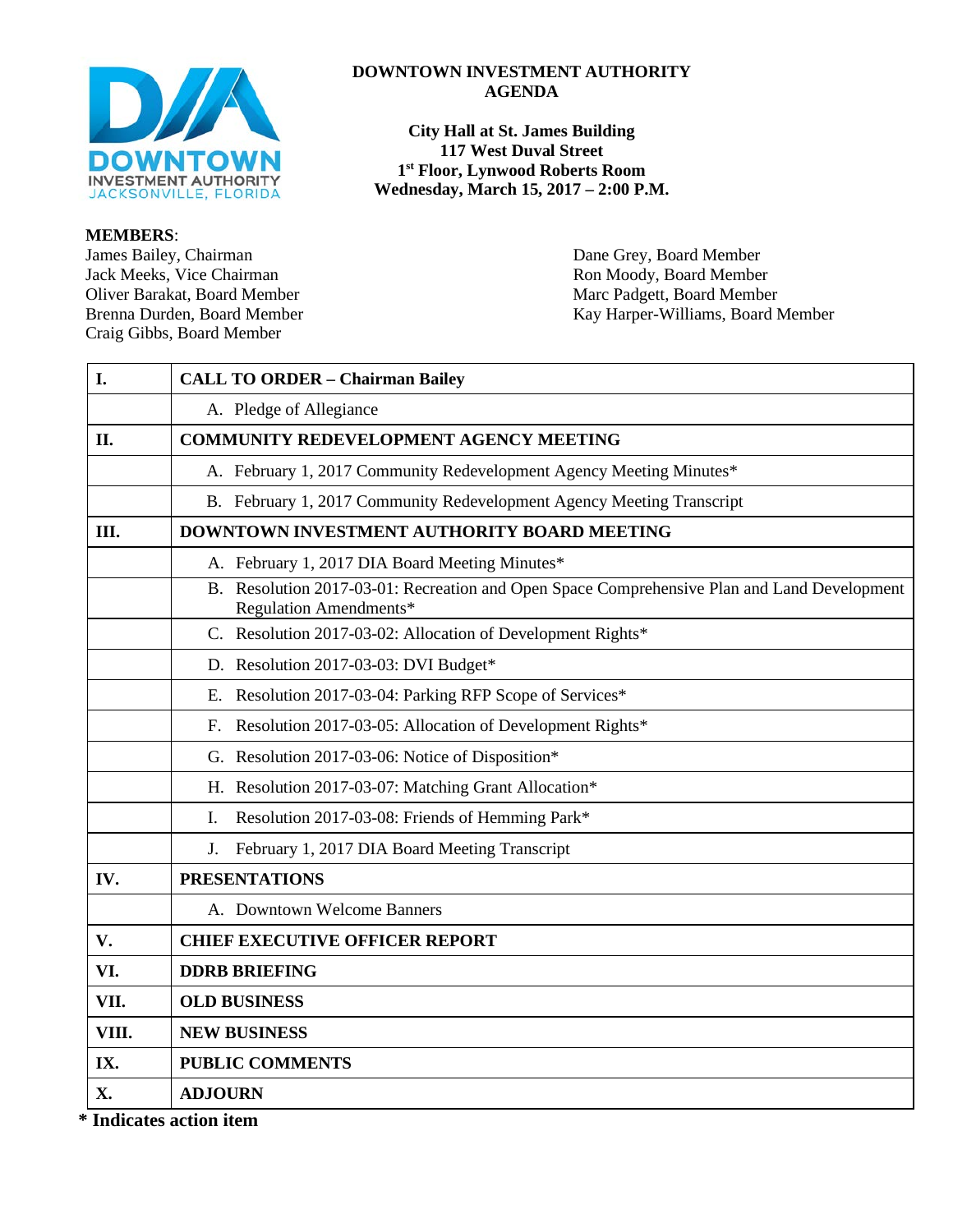

#### **MEMBERS**:

James Bailey, Chairman Dane Grey, Board Member<br>
Jack Meeks, Vice Chairman Ron Moody, Board Member Jack Meeks, Vice Chairman<br>Oliver Barakat, Board Member Craig Gibbs, Board Member

### **DOWNTOWN INVESTMENT AUTHORITY AGENDA**

**City Hall at St. James Building 117 West Duval Street 1st Floor, Lynwood Roberts Room Wednesday, March 15, 2017 – 2:00 P.M.**

Marc Padgett, Board Member Brenna Durden, Board Member Kay Harper-Williams, Board Member

| I.    | <b>CALL TO ORDER - Chairman Bailey</b>                                                                                |  |  |
|-------|-----------------------------------------------------------------------------------------------------------------------|--|--|
|       | A. Pledge of Allegiance                                                                                               |  |  |
| II.   | <b>COMMUNITY REDEVELOPMENT AGENCY MEETING</b>                                                                         |  |  |
|       | A. February 1, 2017 Community Redevelopment Agency Meeting Minutes*                                                   |  |  |
|       | B. February 1, 2017 Community Redevelopment Agency Meeting Transcript                                                 |  |  |
| Ш.    | DOWNTOWN INVESTMENT AUTHORITY BOARD MEETING                                                                           |  |  |
|       | A. February 1, 2017 DIA Board Meeting Minutes*                                                                        |  |  |
|       | B. Resolution 2017-03-01: Recreation and Open Space Comprehensive Plan and Land Development<br>Regulation Amendments* |  |  |
|       | C. Resolution 2017-03-02: Allocation of Development Rights*                                                           |  |  |
|       | D. Resolution 2017-03-03: DVI Budget*                                                                                 |  |  |
|       | E. Resolution 2017-03-04: Parking RFP Scope of Services*                                                              |  |  |
|       | F. Resolution 2017-03-05: Allocation of Development Rights*                                                           |  |  |
|       | G. Resolution 2017-03-06: Notice of Disposition*                                                                      |  |  |
|       | H. Resolution 2017-03-07: Matching Grant Allocation*                                                                  |  |  |
|       | Resolution 2017-03-08: Friends of Hemming Park*<br>I.                                                                 |  |  |
|       | J. February 1, 2017 DIA Board Meeting Transcript                                                                      |  |  |
| IV.   | <b>PRESENTATIONS</b>                                                                                                  |  |  |
|       | A. Downtown Welcome Banners                                                                                           |  |  |
| V.    | <b>CHIEF EXECUTIVE OFFICER REPORT</b>                                                                                 |  |  |
| VI.   | <b>DDRB BRIEFING</b>                                                                                                  |  |  |
| VII.  | <b>OLD BUSINESS</b>                                                                                                   |  |  |
| VIII. | <b>NEW BUSINESS</b>                                                                                                   |  |  |
| IX.   | <b>PUBLIC COMMENTS</b>                                                                                                |  |  |
| X.    | <b>ADJOURN</b>                                                                                                        |  |  |

**\* Indicates action item**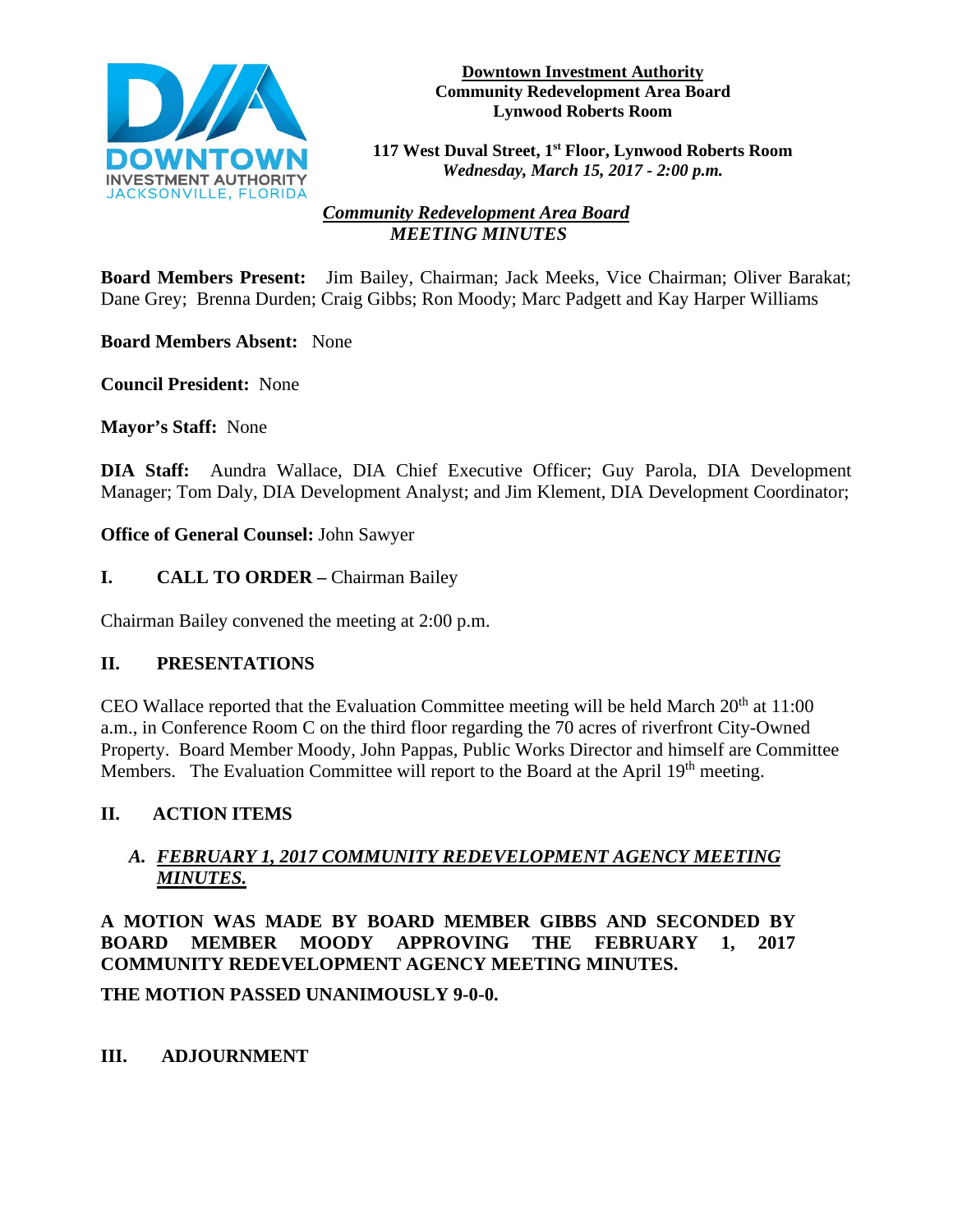

#### **Downtown Investment Authority Community Redevelopment Area Board Lynwood Roberts Room**

**117 West Duval Street, 1st Floor, Lynwood Roberts Room**  *Wednesday, March 15, 2017 - 2:00 p.m.*

# *Community Redevelopment Area Board MEETING MINUTES*

**Board Members Present:** Jim Bailey, Chairman; Jack Meeks, Vice Chairman; Oliver Barakat; Dane Grey; Brenna Durden; Craig Gibbs; Ron Moody; Marc Padgett and Kay Harper Williams

**Board Members Absent:** None

**Council President:** None

**Mayor's Staff:** None

**DIA Staff:** Aundra Wallace, DIA Chief Executive Officer; Guy Parola, DIA Development Manager; Tom Daly, DIA Development Analyst; and Jim Klement, DIA Development Coordinator;

**Office of General Counsel:** John Sawyer

### **I. CALL TO ORDER –** Chairman Bailey

Chairman Bailey convened the meeting at 2:00 p.m.

# **II. PRESENTATIONS**

CEO Wallace reported that the Evaluation Committee meeting will be held March  $20<sup>th</sup>$  at 11:00 a.m., in Conference Room C on the third floor regarding the 70 acres of riverfront City-Owned Property. Board Member Moody, John Pappas, Public Works Director and himself are Committee Members. The Evaluation Committee will report to the Board at the April 19<sup>th</sup> meeting.

# **II. ACTION ITEMS**

# *A. FEBRUARY 1, 2017 COMMUNITY REDEVELOPMENT AGENCY MEETING MINUTES.*

**A MOTION WAS MADE BY BOARD MEMBER GIBBS AND SECONDED BY BOARD MEMBER MOODY APPROVING THE FEBRUARY 1, 2017 COMMUNITY REDEVELOPMENT AGENCY MEETING MINUTES.** 

**THE MOTION PASSED UNANIMOUSLY 9-0-0.** 

# **III. ADJOURNMENT**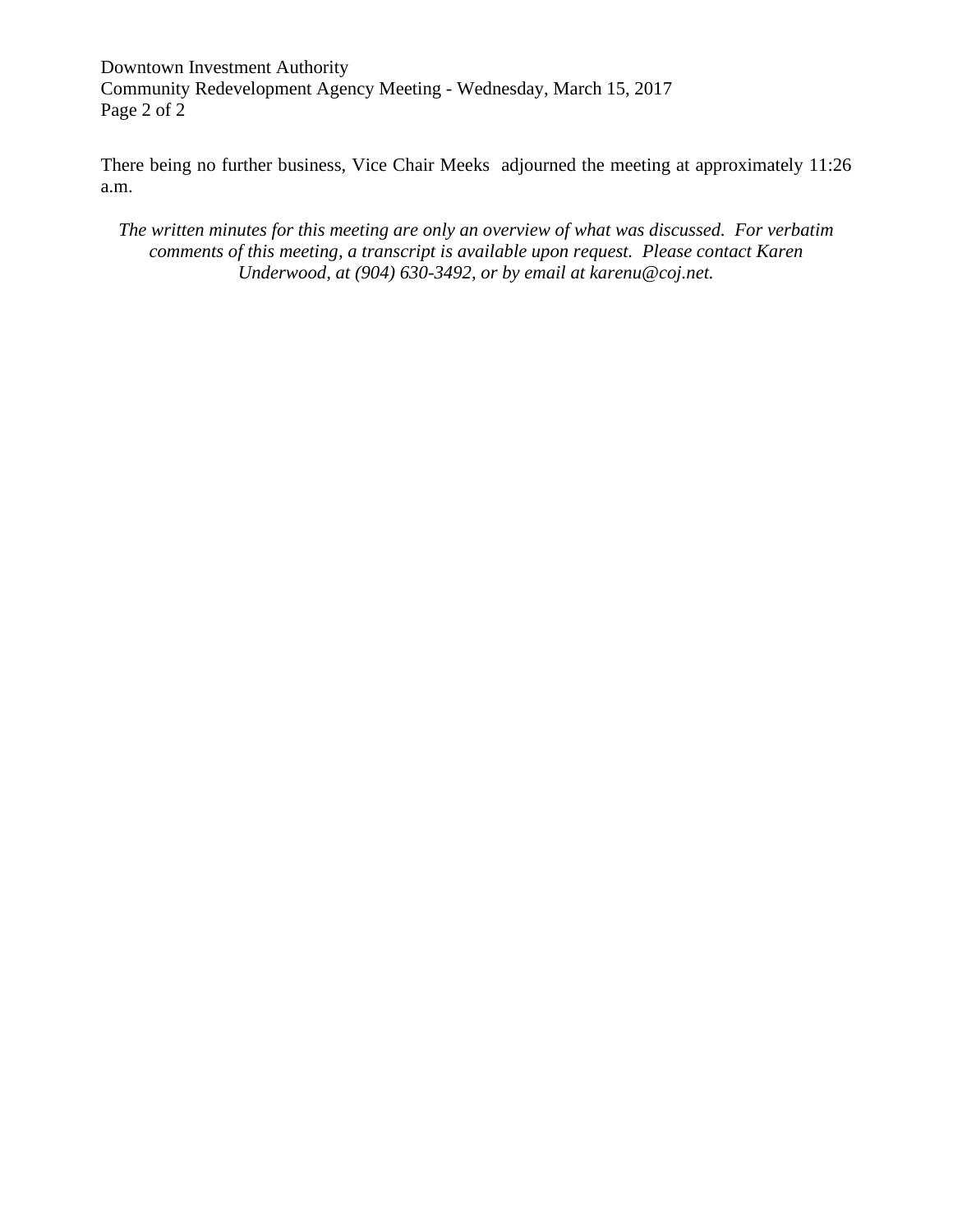Downtown Investment Authority Community Redevelopment Agency Meeting - Wednesday, March 15, 2017 Page 2 of 2

There being no further business, Vice Chair Meeks adjourned the meeting at approximately 11:26 a.m.

*The written minutes for this meeting are only an overview of what was discussed. For verbatim comments of this meeting, a transcript is available upon request. Please contact Karen Underwood, at (904) 630-3492, or by email at karenu@coj.net.*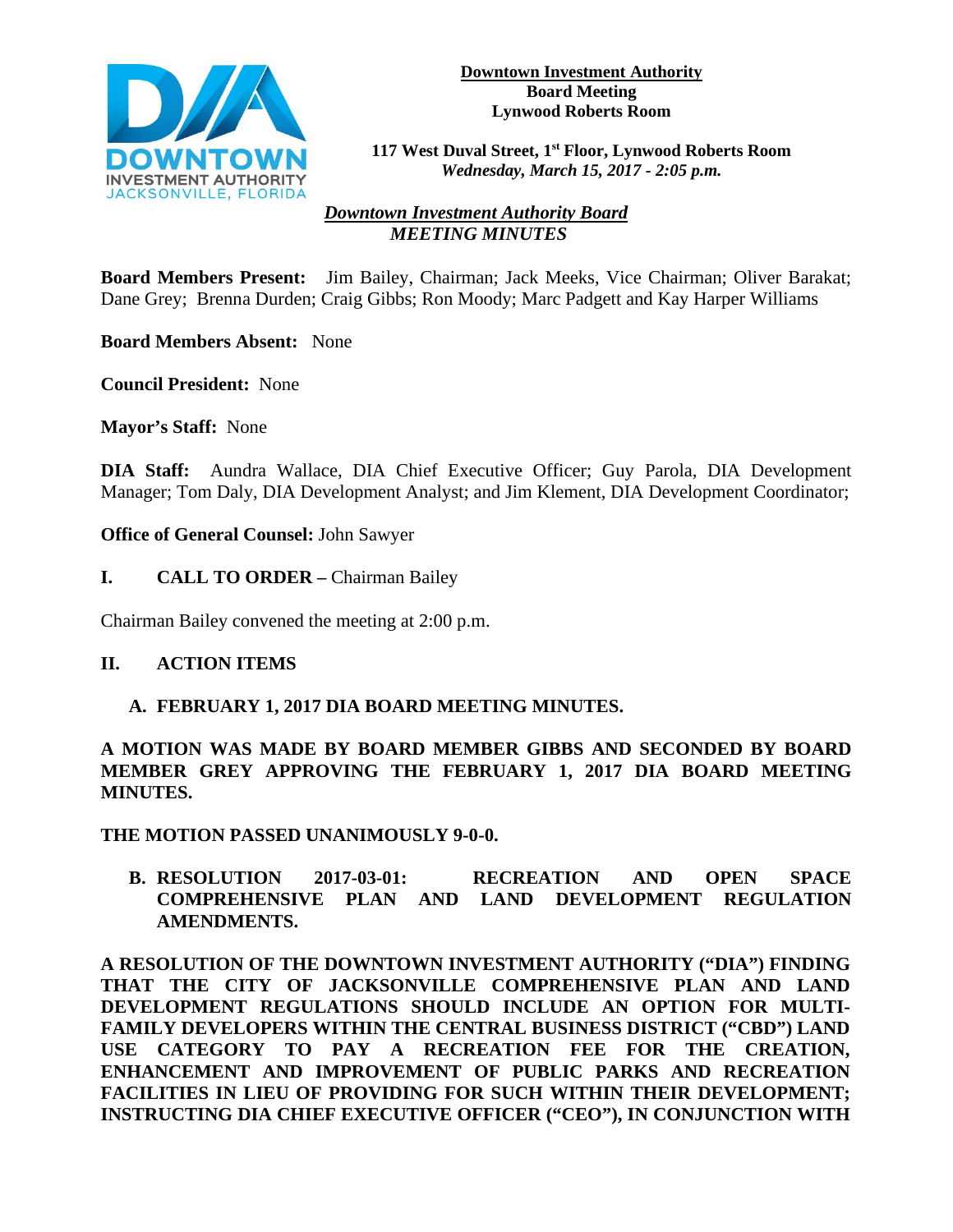

#### **Downtown Investment Authority Board Meeting Lynwood Roberts Room**

**117 West Duval Street, 1st Floor, Lynwood Roberts Room**  *Wednesday, March 15, 2017 - 2:05 p.m.*

# *Downtown Investment Authority Board MEETING MINUTES*

**Board Members Present:** Jim Bailey, Chairman; Jack Meeks, Vice Chairman; Oliver Barakat; Dane Grey; Brenna Durden; Craig Gibbs; Ron Moody; Marc Padgett and Kay Harper Williams

**Board Members Absent:** None

**Council President:** None

**Mayor's Staff:** None

**DIA Staff:** Aundra Wallace, DIA Chief Executive Officer; Guy Parola, DIA Development Manager; Tom Daly, DIA Development Analyst; and Jim Klement, DIA Development Coordinator;

**Office of General Counsel:** John Sawyer

**I. CALL TO ORDER –** Chairman Bailey

Chairman Bailey convened the meeting at 2:00 p.m.

### **II. ACTION ITEMS**

### **A. FEBRUARY 1, 2017 DIA BOARD MEETING MINUTES.**

**A MOTION WAS MADE BY BOARD MEMBER GIBBS AND SECONDED BY BOARD MEMBER GREY APPROVING THE FEBRUARY 1, 2017 DIA BOARD MEETING MINUTES.** 

**THE MOTION PASSED UNANIMOUSLY 9-0-0.** 

**B. RESOLUTION 2017-03-01: RECREATION AND OPEN SPACE COMPREHENSIVE PLAN AND LAND DEVELOPMENT REGULATION AMENDMENTS.** 

**A RESOLUTION OF THE DOWNTOWN INVESTMENT AUTHORITY ("DIA") FINDING THAT THE CITY OF JACKSONVILLE COMPREHENSIVE PLAN AND LAND DEVELOPMENT REGULATIONS SHOULD INCLUDE AN OPTION FOR MULTI-FAMILY DEVELOPERS WITHIN THE CENTRAL BUSINESS DISTRICT ("CBD") LAND USE CATEGORY TO PAY A RECREATION FEE FOR THE CREATION, ENHANCEMENT AND IMPROVEMENT OF PUBLIC PARKS AND RECREATION FACILITIES IN LIEU OF PROVIDING FOR SUCH WITHIN THEIR DEVELOPMENT; INSTRUCTING DIA CHIEF EXECUTIVE OFFICER ("CEO"), IN CONJUNCTION WITH**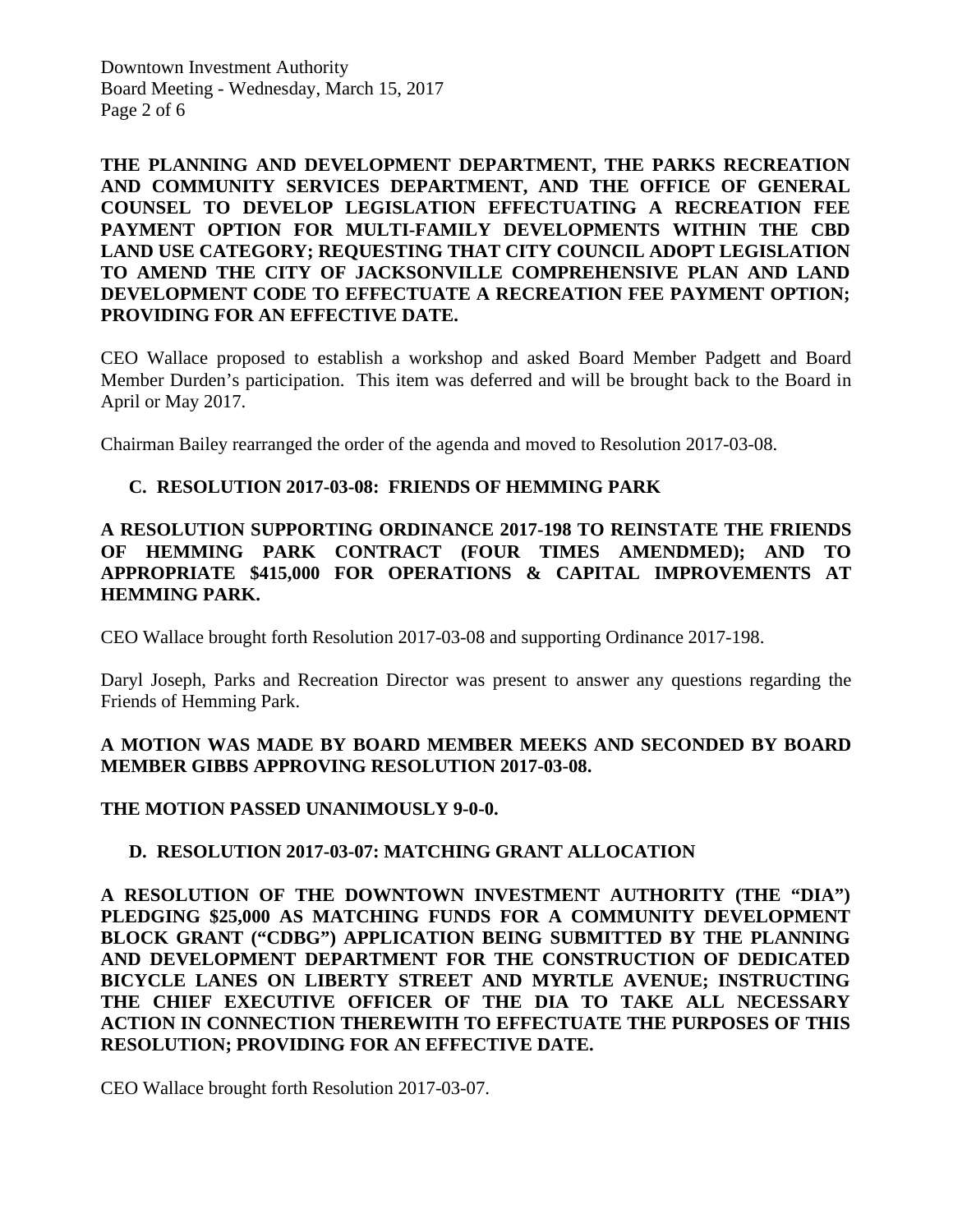Downtown Investment Authority Board Meeting - Wednesday, March 15, 2017 Page 2 of 6

**THE PLANNING AND DEVELOPMENT DEPARTMENT, THE PARKS RECREATION AND COMMUNITY SERVICES DEPARTMENT, AND THE OFFICE OF GENERAL COUNSEL TO DEVELOP LEGISLATION EFFECTUATING A RECREATION FEE PAYMENT OPTION FOR MULTI-FAMILY DEVELOPMENTS WITHIN THE CBD LAND USE CATEGORY; REQUESTING THAT CITY COUNCIL ADOPT LEGISLATION TO AMEND THE CITY OF JACKSONVILLE COMPREHENSIVE PLAN AND LAND DEVELOPMENT CODE TO EFFECTUATE A RECREATION FEE PAYMENT OPTION; PROVIDING FOR AN EFFECTIVE DATE.** 

CEO Wallace proposed to establish a workshop and asked Board Member Padgett and Board Member Durden's participation. This item was deferred and will be brought back to the Board in April or May 2017.

Chairman Bailey rearranged the order of the agenda and moved to Resolution 2017-03-08.

### **C. RESOLUTION 2017-03-08: FRIENDS OF HEMMING PARK**

### **A RESOLUTION SUPPORTING ORDINANCE 2017-198 TO REINSTATE THE FRIENDS OF HEMMING PARK CONTRACT (FOUR TIMES AMENDMED); AND TO APPROPRIATE \$415,000 FOR OPERATIONS & CAPITAL IMPROVEMENTS AT HEMMING PARK.**

CEO Wallace brought forth Resolution 2017-03-08 and supporting Ordinance 2017-198.

Daryl Joseph, Parks and Recreation Director was present to answer any questions regarding the Friends of Hemming Park.

### **A MOTION WAS MADE BY BOARD MEMBER MEEKS AND SECONDED BY BOARD MEMBER GIBBS APPROVING RESOLUTION 2017-03-08.**

### **THE MOTION PASSED UNANIMOUSLY 9-0-0.**

### **D. RESOLUTION 2017-03-07: MATCHING GRANT ALLOCATION**

**A RESOLUTION OF THE DOWNTOWN INVESTMENT AUTHORITY (THE "DIA") PLEDGING \$25,000 AS MATCHING FUNDS FOR A COMMUNITY DEVELOPMENT BLOCK GRANT ("CDBG") APPLICATION BEING SUBMITTED BY THE PLANNING AND DEVELOPMENT DEPARTMENT FOR THE CONSTRUCTION OF DEDICATED BICYCLE LANES ON LIBERTY STREET AND MYRTLE AVENUE; INSTRUCTING THE CHIEF EXECUTIVE OFFICER OF THE DIA TO TAKE ALL NECESSARY ACTION IN CONNECTION THEREWITH TO EFFECTUATE THE PURPOSES OF THIS RESOLUTION; PROVIDING FOR AN EFFECTIVE DATE.** 

CEO Wallace brought forth Resolution 2017-03-07.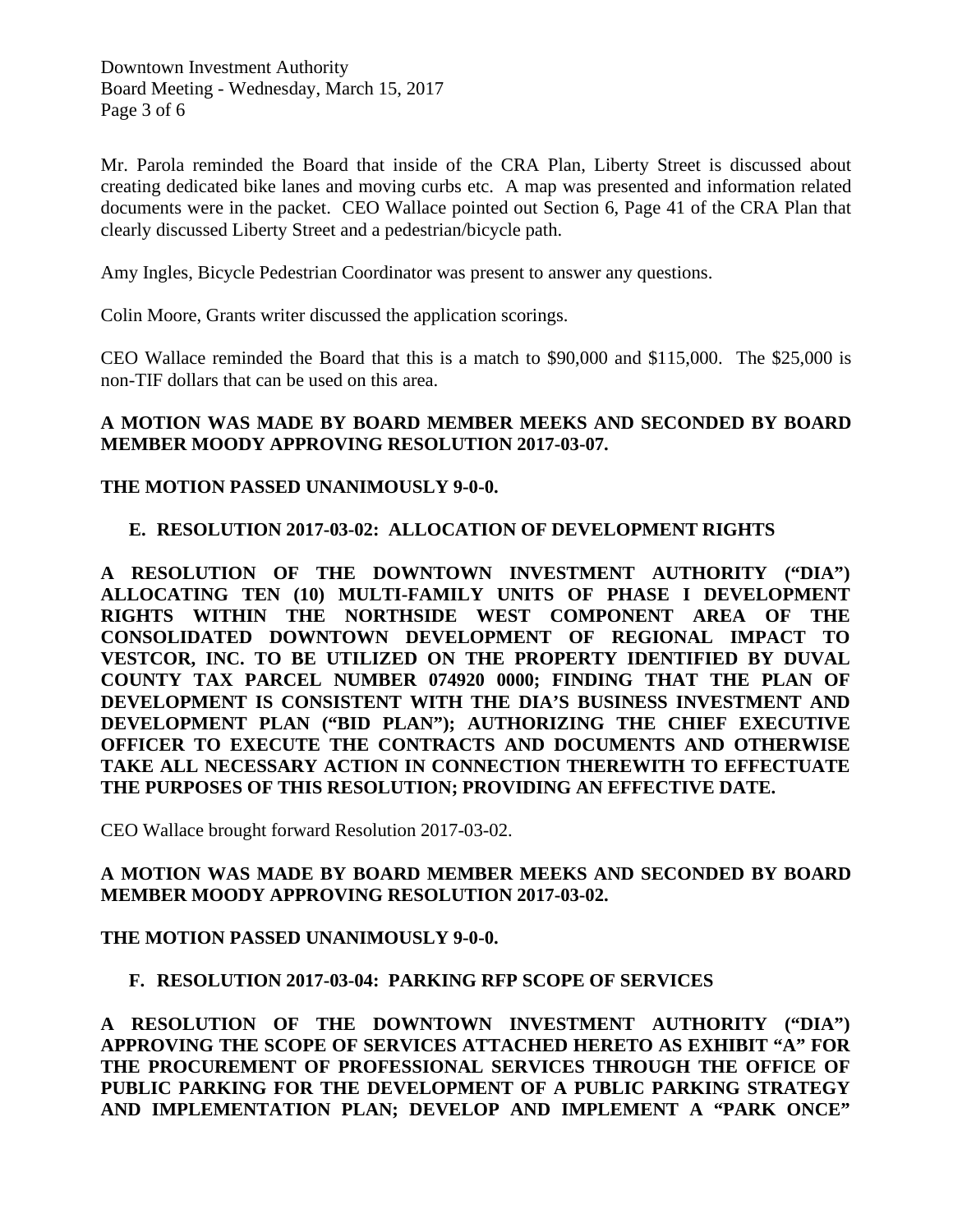Downtown Investment Authority Board Meeting - Wednesday, March 15, 2017 Page 3 of 6

Mr. Parola reminded the Board that inside of the CRA Plan, Liberty Street is discussed about creating dedicated bike lanes and moving curbs etc. A map was presented and information related documents were in the packet. CEO Wallace pointed out Section 6, Page 41 of the CRA Plan that clearly discussed Liberty Street and a pedestrian/bicycle path.

Amy Ingles, Bicycle Pedestrian Coordinator was present to answer any questions.

Colin Moore, Grants writer discussed the application scorings.

CEO Wallace reminded the Board that this is a match to \$90,000 and \$115,000. The \$25,000 is non-TIF dollars that can be used on this area.

### **A MOTION WAS MADE BY BOARD MEMBER MEEKS AND SECONDED BY BOARD MEMBER MOODY APPROVING RESOLUTION 2017-03-07.**

### **THE MOTION PASSED UNANIMOUSLY 9-0-0.**

### **E. RESOLUTION 2017-03-02: ALLOCATION OF DEVELOPMENT RIGHTS**

**A RESOLUTION OF THE DOWNTOWN INVESTMENT AUTHORITY ("DIA") ALLOCATING TEN (10) MULTI-FAMILY UNITS OF PHASE I DEVELOPMENT RIGHTS WITHIN THE NORTHSIDE WEST COMPONENT AREA OF THE CONSOLIDATED DOWNTOWN DEVELOPMENT OF REGIONAL IMPACT TO VESTCOR, INC. TO BE UTILIZED ON THE PROPERTY IDENTIFIED BY DUVAL COUNTY TAX PARCEL NUMBER 074920 0000; FINDING THAT THE PLAN OF DEVELOPMENT IS CONSISTENT WITH THE DIA'S BUSINESS INVESTMENT AND DEVELOPMENT PLAN ("BID PLAN"); AUTHORIZING THE CHIEF EXECUTIVE OFFICER TO EXECUTE THE CONTRACTS AND DOCUMENTS AND OTHERWISE TAKE ALL NECESSARY ACTION IN CONNECTION THEREWITH TO EFFECTUATE THE PURPOSES OF THIS RESOLUTION; PROVIDING AN EFFECTIVE DATE.** 

CEO Wallace brought forward Resolution 2017-03-02.

### **A MOTION WAS MADE BY BOARD MEMBER MEEKS AND SECONDED BY BOARD MEMBER MOODY APPROVING RESOLUTION 2017-03-02.**

#### **THE MOTION PASSED UNANIMOUSLY 9-0-0.**

# **F. RESOLUTION 2017-03-04: PARKING RFP SCOPE OF SERVICES**

**A RESOLUTION OF THE DOWNTOWN INVESTMENT AUTHORITY ("DIA") APPROVING THE SCOPE OF SERVICES ATTACHED HERETO AS EXHIBIT "A" FOR THE PROCUREMENT OF PROFESSIONAL SERVICES THROUGH THE OFFICE OF PUBLIC PARKING FOR THE DEVELOPMENT OF A PUBLIC PARKING STRATEGY AND IMPLEMENTATION PLAN; DEVELOP AND IMPLEMENT A "PARK ONCE"**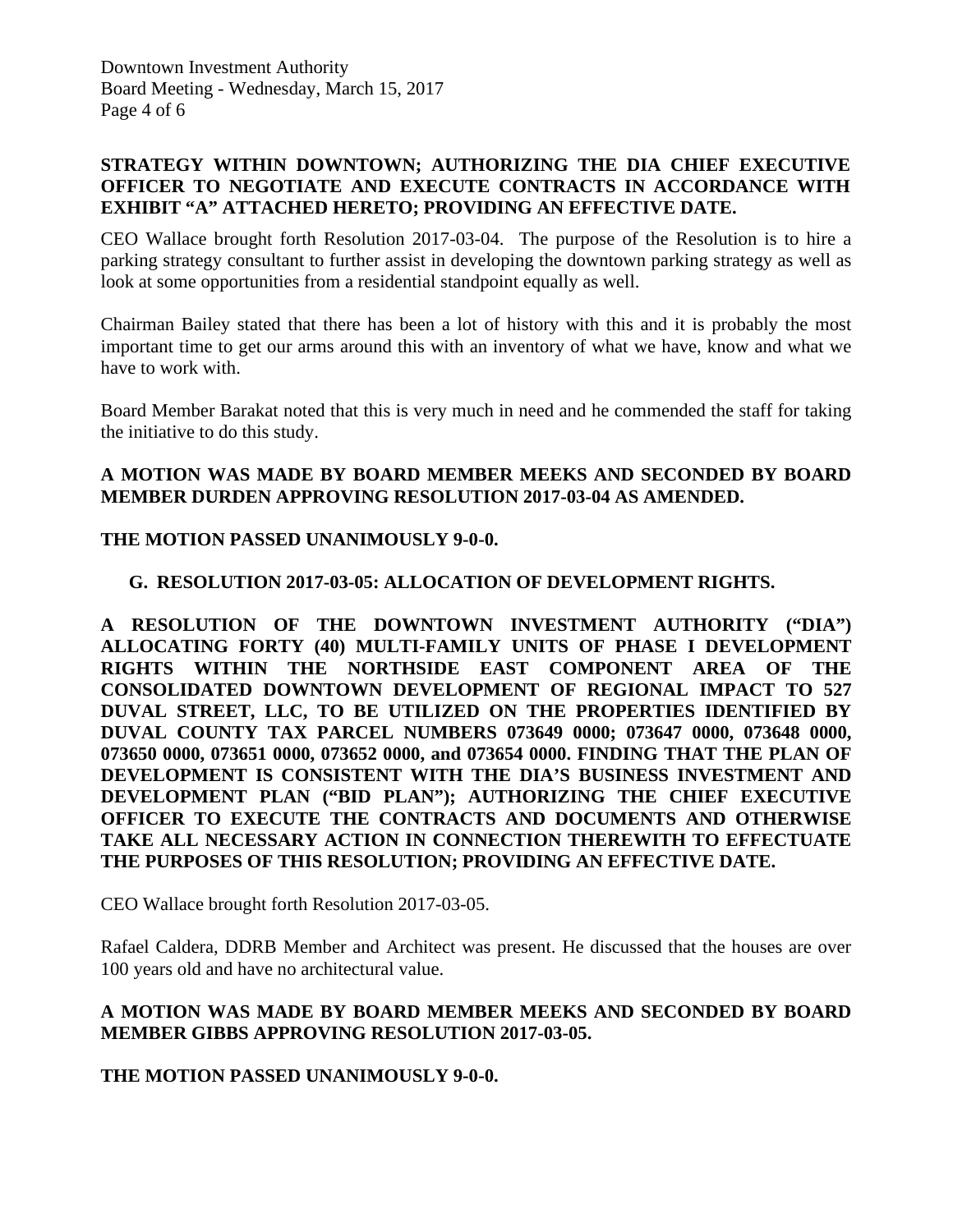# **STRATEGY WITHIN DOWNTOWN; AUTHORIZING THE DIA CHIEF EXECUTIVE OFFICER TO NEGOTIATE AND EXECUTE CONTRACTS IN ACCORDANCE WITH EXHIBIT "A" ATTACHED HERETO; PROVIDING AN EFFECTIVE DATE.**

CEO Wallace brought forth Resolution 2017-03-04. The purpose of the Resolution is to hire a parking strategy consultant to further assist in developing the downtown parking strategy as well as look at some opportunities from a residential standpoint equally as well.

Chairman Bailey stated that there has been a lot of history with this and it is probably the most important time to get our arms around this with an inventory of what we have, know and what we have to work with.

Board Member Barakat noted that this is very much in need and he commended the staff for taking the initiative to do this study.

# **A MOTION WAS MADE BY BOARD MEMBER MEEKS AND SECONDED BY BOARD MEMBER DURDEN APPROVING RESOLUTION 2017-03-04 AS AMENDED.**

# **THE MOTION PASSED UNANIMOUSLY 9-0-0.**

### **G. RESOLUTION 2017-03-05: ALLOCATION OF DEVELOPMENT RIGHTS.**

**A RESOLUTION OF THE DOWNTOWN INVESTMENT AUTHORITY ("DIA") ALLOCATING FORTY (40) MULTI-FAMILY UNITS OF PHASE I DEVELOPMENT RIGHTS WITHIN THE NORTHSIDE EAST COMPONENT AREA OF THE CONSOLIDATED DOWNTOWN DEVELOPMENT OF REGIONAL IMPACT TO 527 DUVAL STREET, LLC, TO BE UTILIZED ON THE PROPERTIES IDENTIFIED BY DUVAL COUNTY TAX PARCEL NUMBERS 073649 0000; 073647 0000, 073648 0000, 073650 0000, 073651 0000, 073652 0000, and 073654 0000. FINDING THAT THE PLAN OF DEVELOPMENT IS CONSISTENT WITH THE DIA'S BUSINESS INVESTMENT AND DEVELOPMENT PLAN ("BID PLAN"); AUTHORIZING THE CHIEF EXECUTIVE OFFICER TO EXECUTE THE CONTRACTS AND DOCUMENTS AND OTHERWISE TAKE ALL NECESSARY ACTION IN CONNECTION THEREWITH TO EFFECTUATE THE PURPOSES OF THIS RESOLUTION; PROVIDING AN EFFECTIVE DATE.** 

CEO Wallace brought forth Resolution 2017-03-05.

Rafael Caldera, DDRB Member and Architect was present. He discussed that the houses are over 100 years old and have no architectural value.

# **A MOTION WAS MADE BY BOARD MEMBER MEEKS AND SECONDED BY BOARD MEMBER GIBBS APPROVING RESOLUTION 2017-03-05.**

# **THE MOTION PASSED UNANIMOUSLY 9-0-0.**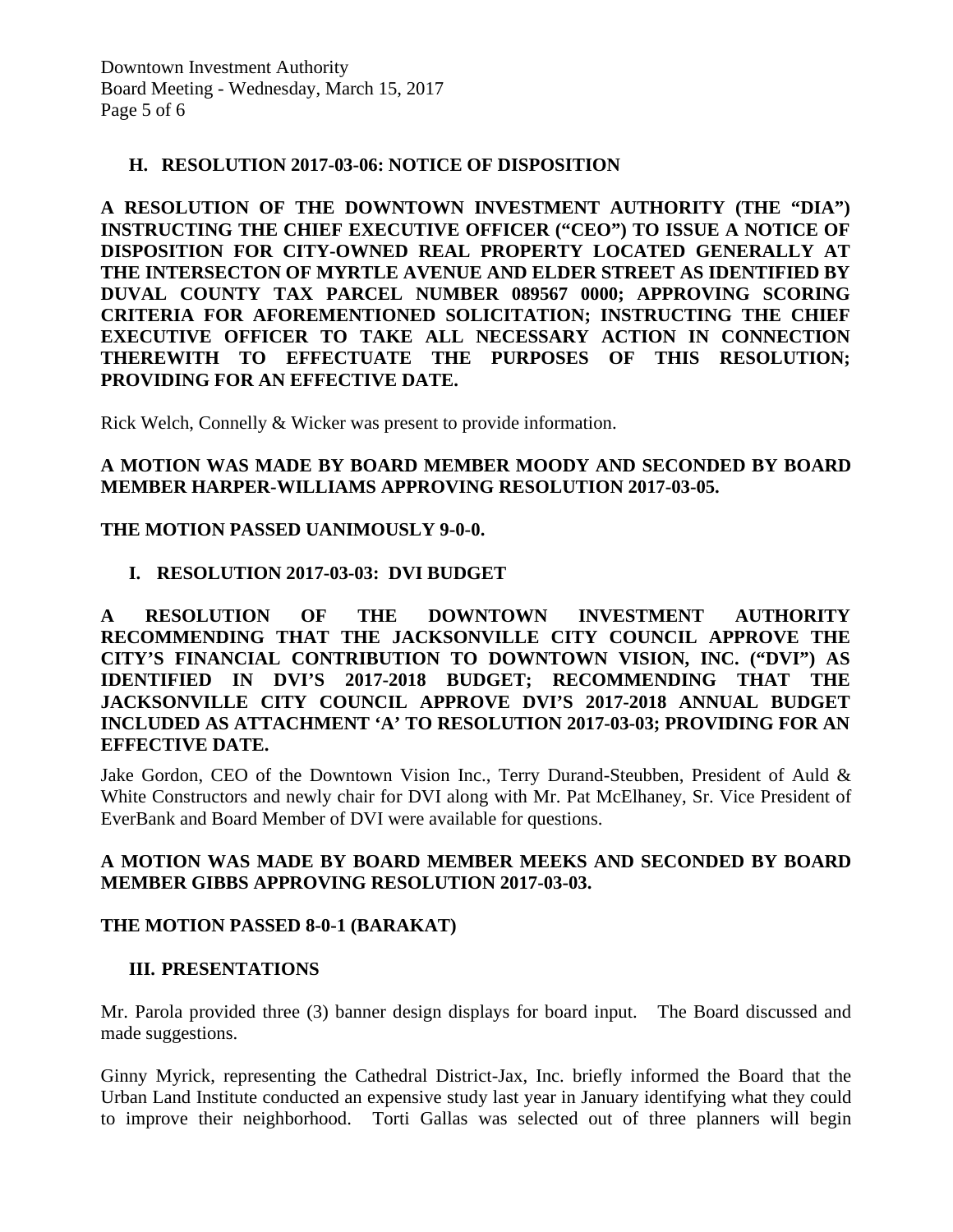### **H. RESOLUTION 2017-03-06: NOTICE OF DISPOSITION**

**A RESOLUTION OF THE DOWNTOWN INVESTMENT AUTHORITY (THE "DIA") INSTRUCTING THE CHIEF EXECUTIVE OFFICER ("CEO") TO ISSUE A NOTICE OF DISPOSITION FOR CITY-OWNED REAL PROPERTY LOCATED GENERALLY AT THE INTERSECTON OF MYRTLE AVENUE AND ELDER STREET AS IDENTIFIED BY DUVAL COUNTY TAX PARCEL NUMBER 089567 0000; APPROVING SCORING CRITERIA FOR AFOREMENTIONED SOLICITATION; INSTRUCTING THE CHIEF EXECUTIVE OFFICER TO TAKE ALL NECESSARY ACTION IN CONNECTION THEREWITH TO EFFECTUATE THE PURPOSES OF THIS RESOLUTION; PROVIDING FOR AN EFFECTIVE DATE.** 

Rick Welch, Connelly & Wicker was present to provide information.

### **A MOTION WAS MADE BY BOARD MEMBER MOODY AND SECONDED BY BOARD MEMBER HARPER-WILLIAMS APPROVING RESOLUTION 2017-03-05.**

### **THE MOTION PASSED UANIMOUSLY 9-0-0.**

### **I. RESOLUTION 2017-03-03: DVI BUDGET**

**A RESOLUTION OF THE DOWNTOWN INVESTMENT AUTHORITY RECOMMENDING THAT THE JACKSONVILLE CITY COUNCIL APPROVE THE CITY'S FINANCIAL CONTRIBUTION TO DOWNTOWN VISION, INC. ("DVI") AS IDENTIFIED IN DVI'S 2017-2018 BUDGET; RECOMMENDING THAT THE JACKSONVILLE CITY COUNCIL APPROVE DVI'S 2017-2018 ANNUAL BUDGET INCLUDED AS ATTACHMENT 'A' TO RESOLUTION 2017-03-03; PROVIDING FOR AN EFFECTIVE DATE.** 

Jake Gordon, CEO of the Downtown Vision Inc., Terry Durand-Steubben, President of Auld & White Constructors and newly chair for DVI along with Mr. Pat McElhaney, Sr. Vice President of EverBank and Board Member of DVI were available for questions.

### **A MOTION WAS MADE BY BOARD MEMBER MEEKS AND SECONDED BY BOARD MEMBER GIBBS APPROVING RESOLUTION 2017-03-03.**

### **THE MOTION PASSED 8-0-1 (BARAKAT)**

### **III. PRESENTATIONS**

Mr. Parola provided three (3) banner design displays for board input. The Board discussed and made suggestions.

Ginny Myrick, representing the Cathedral District-Jax, Inc. briefly informed the Board that the Urban Land Institute conducted an expensive study last year in January identifying what they could to improve their neighborhood. Torti Gallas was selected out of three planners will begin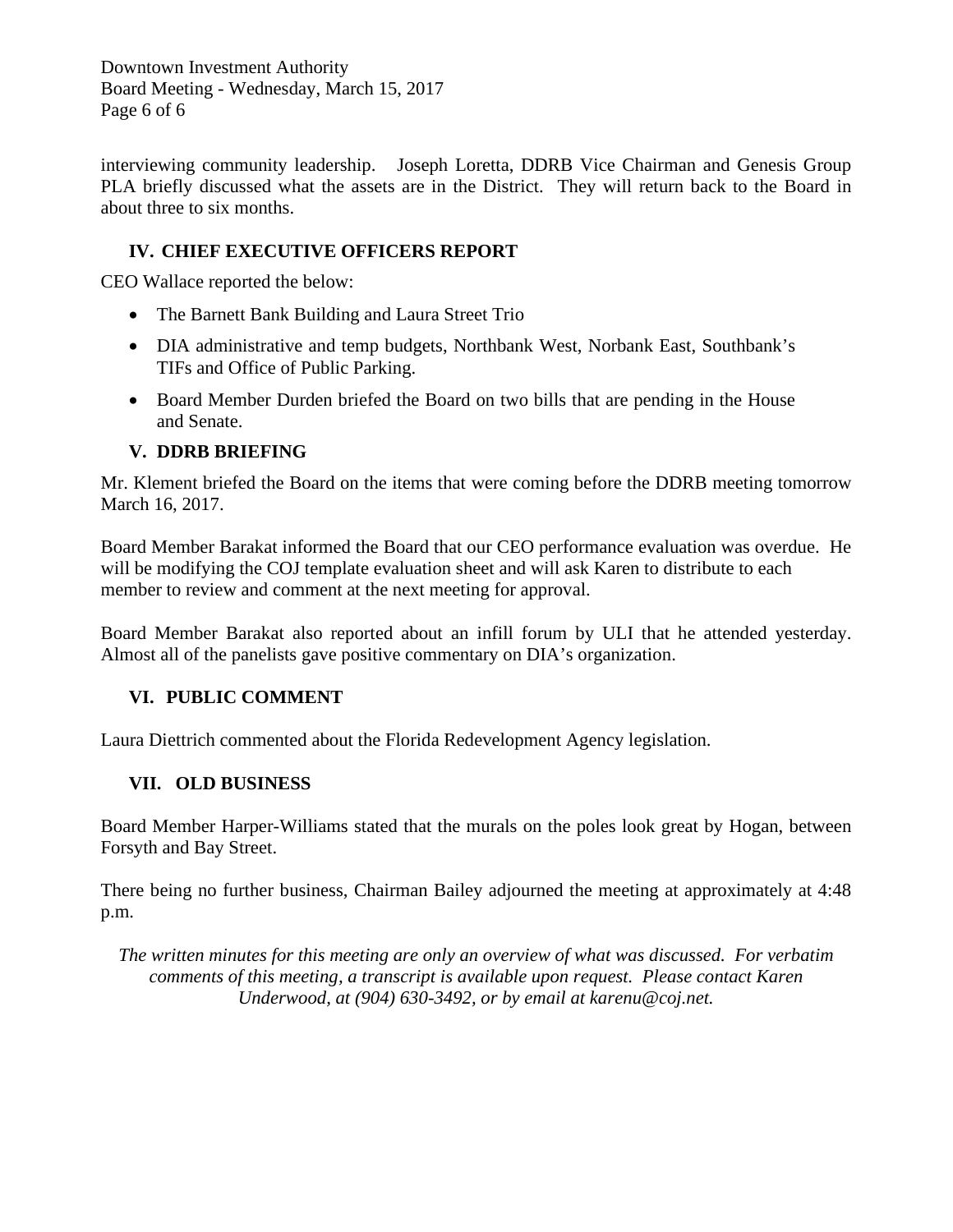Downtown Investment Authority Board Meeting - Wednesday, March 15, 2017 Page 6 of 6

interviewing community leadership. Joseph Loretta, DDRB Vice Chairman and Genesis Group PLA briefly discussed what the assets are in the District. They will return back to the Board in about three to six months.

# **IV. CHIEF EXECUTIVE OFFICERS REPORT**

CEO Wallace reported the below:

- The Barnett Bank Building and Laura Street Trio
- DIA administrative and temp budgets, Northbank West, Norbank East, Southbank's TIFs and Office of Public Parking.
- Board Member Durden briefed the Board on two bills that are pending in the House and Senate.

# **V. DDRB BRIEFING**

Mr. Klement briefed the Board on the items that were coming before the DDRB meeting tomorrow March 16, 2017.

Board Member Barakat informed the Board that our CEO performance evaluation was overdue. He will be modifying the COJ template evaluation sheet and will ask Karen to distribute to each member to review and comment at the next meeting for approval.

Board Member Barakat also reported about an infill forum by ULI that he attended yesterday. Almost all of the panelists gave positive commentary on DIA's organization.

# **VI. PUBLIC COMMENT**

Laura Diettrich commented about the Florida Redevelopment Agency legislation.

# **VII. OLD BUSINESS**

Board Member Harper-Williams stated that the murals on the poles look great by Hogan, between Forsyth and Bay Street.

There being no further business, Chairman Bailey adjourned the meeting at approximately at 4:48 p.m.

*The written minutes for this meeting are only an overview of what was discussed. For verbatim comments of this meeting, a transcript is available upon request. Please contact Karen Underwood, at (904) 630-3492, or by email at karenu@coj.net.*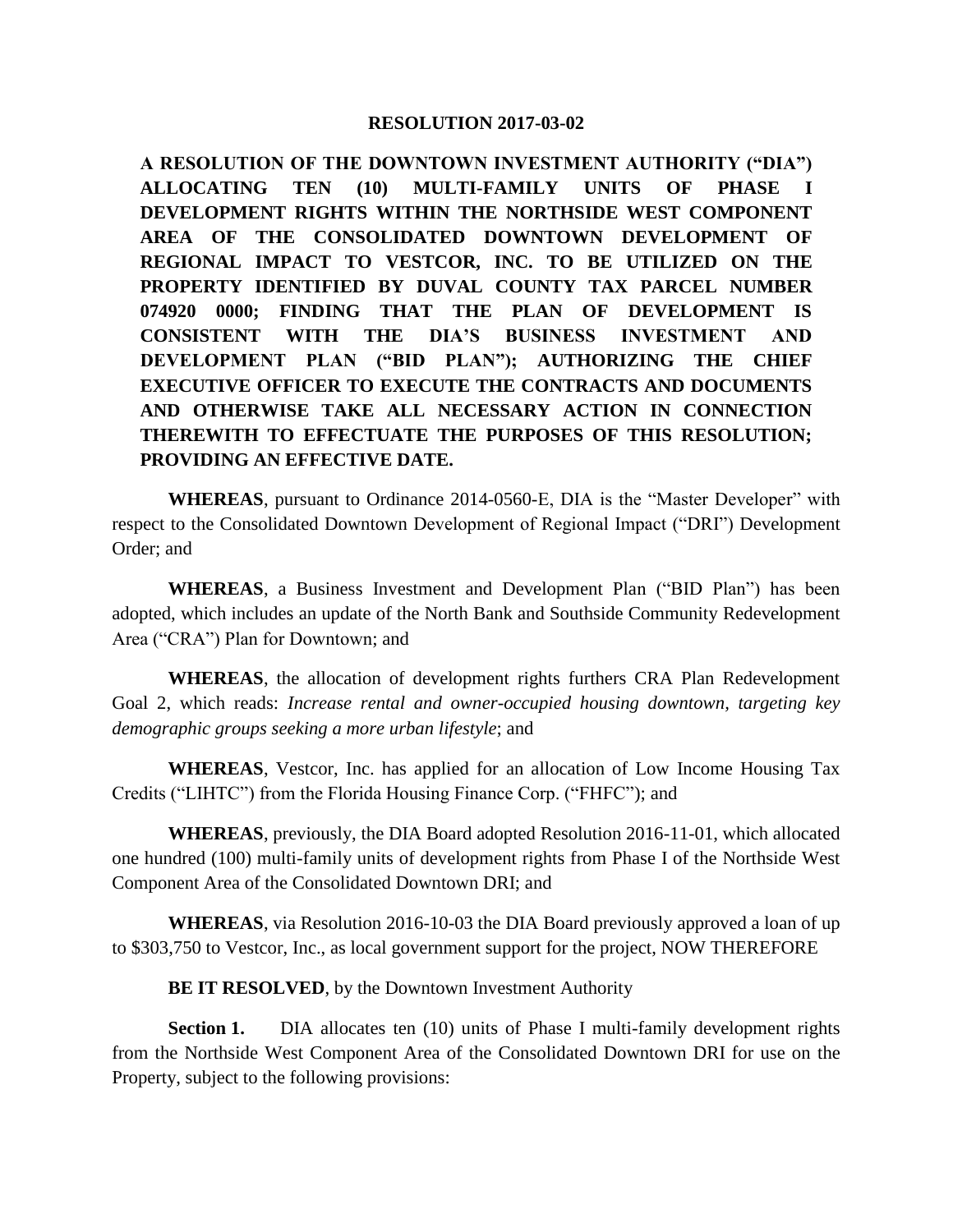**A RESOLUTION OF THE DOWNTOWN INVESTMENT AUTHORITY ("DIA") ALLOCATING TEN (10) MULTI-FAMILY UNITS OF PHASE I DEVELOPMENT RIGHTS WITHIN THE NORTHSIDE WEST COMPONENT AREA OF THE CONSOLIDATED DOWNTOWN DEVELOPMENT OF REGIONAL IMPACT TO VESTCOR, INC. TO BE UTILIZED ON THE PROPERTY IDENTIFIED BY DUVAL COUNTY TAX PARCEL NUMBER 074920 0000; FINDING THAT THE PLAN OF DEVELOPMENT IS CONSISTENT WITH THE DIA'S BUSINESS INVESTMENT AND DEVELOPMENT PLAN ("BID PLAN"); AUTHORIZING THE CHIEF EXECUTIVE OFFICER TO EXECUTE THE CONTRACTS AND DOCUMENTS AND OTHERWISE TAKE ALL NECESSARY ACTION IN CONNECTION THEREWITH TO EFFECTUATE THE PURPOSES OF THIS RESOLUTION; PROVIDING AN EFFECTIVE DATE.**

**WHEREAS**, pursuant to Ordinance 2014-0560-E, DIA is the "Master Developer" with respect to the Consolidated Downtown Development of Regional Impact ("DRI") Development Order; and

**WHEREAS**, a Business Investment and Development Plan ("BID Plan") has been adopted, which includes an update of the North Bank and Southside Community Redevelopment Area ("CRA") Plan for Downtown; and

**WHEREAS**, the allocation of development rights furthers CRA Plan Redevelopment Goal 2, which reads: *Increase rental and owner-occupied housing downtown, targeting key demographic groups seeking a more urban lifestyle*; and

**WHEREAS**, Vestcor, Inc. has applied for an allocation of Low Income Housing Tax Credits ("LIHTC") from the Florida Housing Finance Corp. ("FHFC"); and

**WHEREAS**, previously, the DIA Board adopted Resolution 2016-11-01, which allocated one hundred (100) multi-family units of development rights from Phase I of the Northside West Component Area of the Consolidated Downtown DRI; and

**WHEREAS**, via Resolution 2016-10-03 the DIA Board previously approved a loan of up to \$303,750 to Vestcor, Inc., as local government support for the project, NOW THEREFORE

**BE IT RESOLVED**, by the Downtown Investment Authority

**Section 1.** DIA allocates ten (10) units of Phase I multi-family development rights from the Northside West Component Area of the Consolidated Downtown DRI for use on the Property, subject to the following provisions: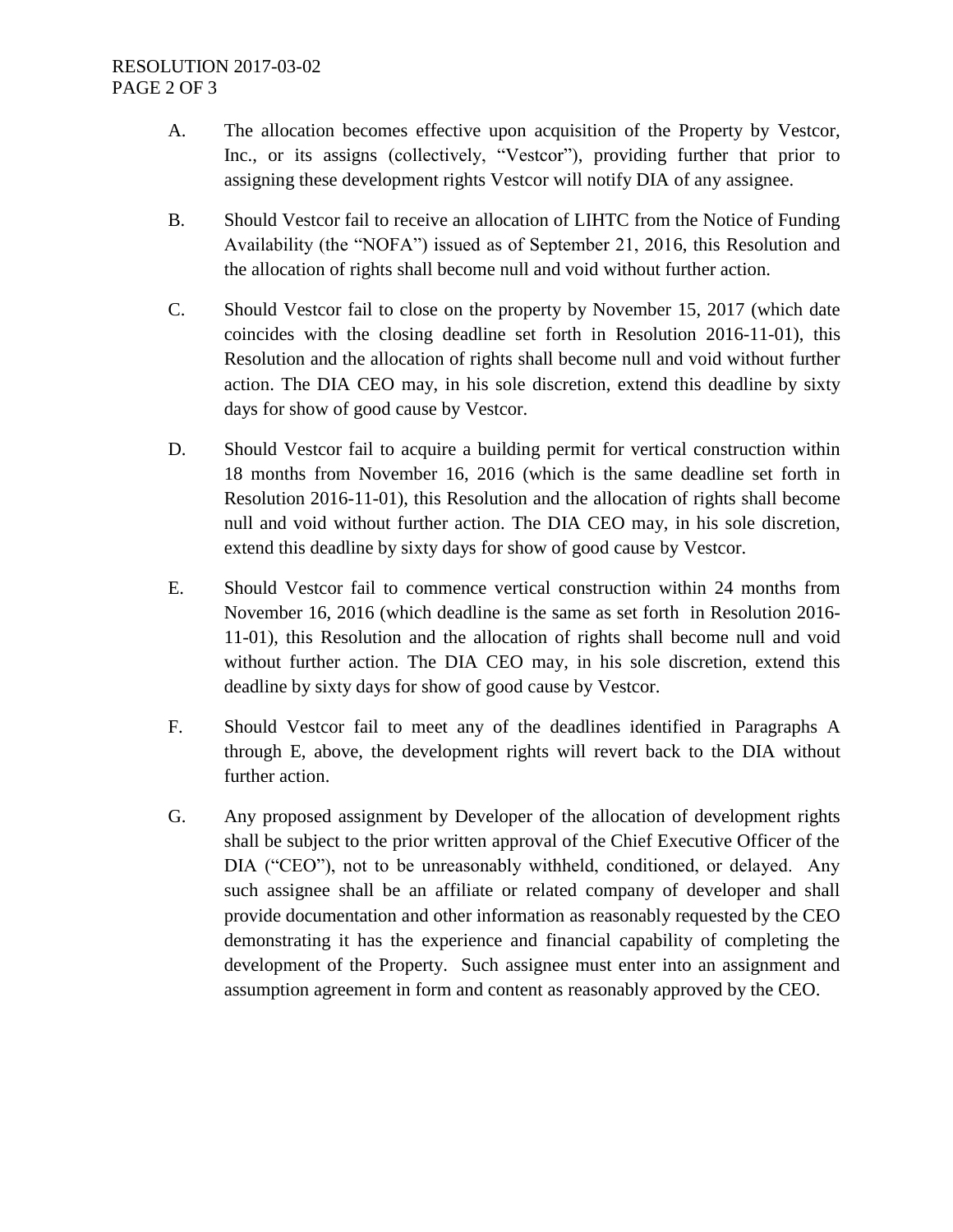# RESOLUTION 2017-03-02 PAGE 2 OF 3

- A. The allocation becomes effective upon acquisition of the Property by Vestcor, Inc., or its assigns (collectively, "Vestcor"), providing further that prior to assigning these development rights Vestcor will notify DIA of any assignee.
- B. Should Vestcor fail to receive an allocation of LIHTC from the Notice of Funding Availability (the "NOFA") issued as of September 21, 2016, this Resolution and the allocation of rights shall become null and void without further action.
- C. Should Vestcor fail to close on the property by November 15, 2017 (which date coincides with the closing deadline set forth in Resolution 2016-11-01), this Resolution and the allocation of rights shall become null and void without further action. The DIA CEO may, in his sole discretion, extend this deadline by sixty days for show of good cause by Vestcor.
- D. Should Vestcor fail to acquire a building permit for vertical construction within 18 months from November 16, 2016 (which is the same deadline set forth in Resolution 2016-11-01), this Resolution and the allocation of rights shall become null and void without further action. The DIA CEO may, in his sole discretion, extend this deadline by sixty days for show of good cause by Vestcor.
- E. Should Vestcor fail to commence vertical construction within 24 months from November 16, 2016 (which deadline is the same as set forth in Resolution 2016- 11-01), this Resolution and the allocation of rights shall become null and void without further action. The DIA CEO may, in his sole discretion, extend this deadline by sixty days for show of good cause by Vestcor.
- F. Should Vestcor fail to meet any of the deadlines identified in Paragraphs A through E, above, the development rights will revert back to the DIA without further action.
- G. Any proposed assignment by Developer of the allocation of development rights shall be subject to the prior written approval of the Chief Executive Officer of the DIA ("CEO"), not to be unreasonably withheld, conditioned, or delayed. Any such assignee shall be an affiliate or related company of developer and shall provide documentation and other information as reasonably requested by the CEO demonstrating it has the experience and financial capability of completing the development of the Property. Such assignee must enter into an assignment and assumption agreement in form and content as reasonably approved by the CEO.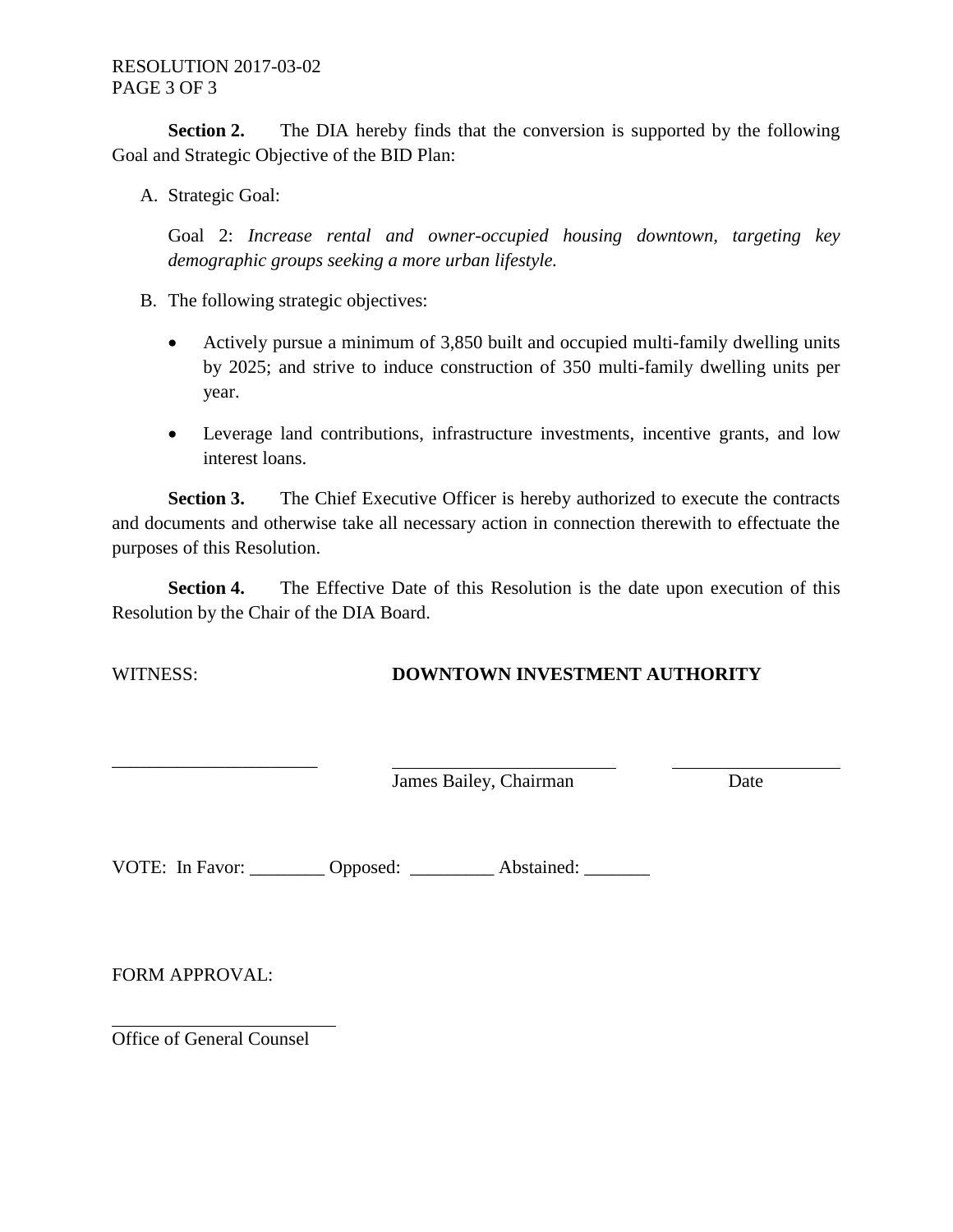**Section 2.** The DIA hereby finds that the conversion is supported by the following Goal and Strategic Objective of the BID Plan:

A. Strategic Goal:

Goal 2: *Increase rental and owner-occupied housing downtown, targeting key demographic groups seeking a more urban lifestyle.*

- B. The following strategic objectives:
	- Actively pursue a minimum of 3,850 built and occupied multi-family dwelling units by 2025; and strive to induce construction of 350 multi-family dwelling units per year.
	- Leverage land contributions, infrastructure investments, incentive grants, and low interest loans.

**Section 3.** The Chief Executive Officer is hereby authorized to execute the contracts and documents and otherwise take all necessary action in connection therewith to effectuate the purposes of this Resolution.

**Section 4.** The Effective Date of this Resolution is the date upon execution of this Resolution by the Chair of the DIA Board.

# WITNESS: **DOWNTOWN INVESTMENT AUTHORITY**

**James Bailey, Chairman** Date

VOTE: In Favor: \_\_\_\_\_\_\_\_ Opposed: \_\_\_\_\_\_\_\_\_ Abstained: \_\_\_\_\_\_\_

FORM APPROVAL:

Office of General Counsel

\_\_\_\_\_\_\_\_\_\_\_\_\_\_\_\_\_\_\_\_\_\_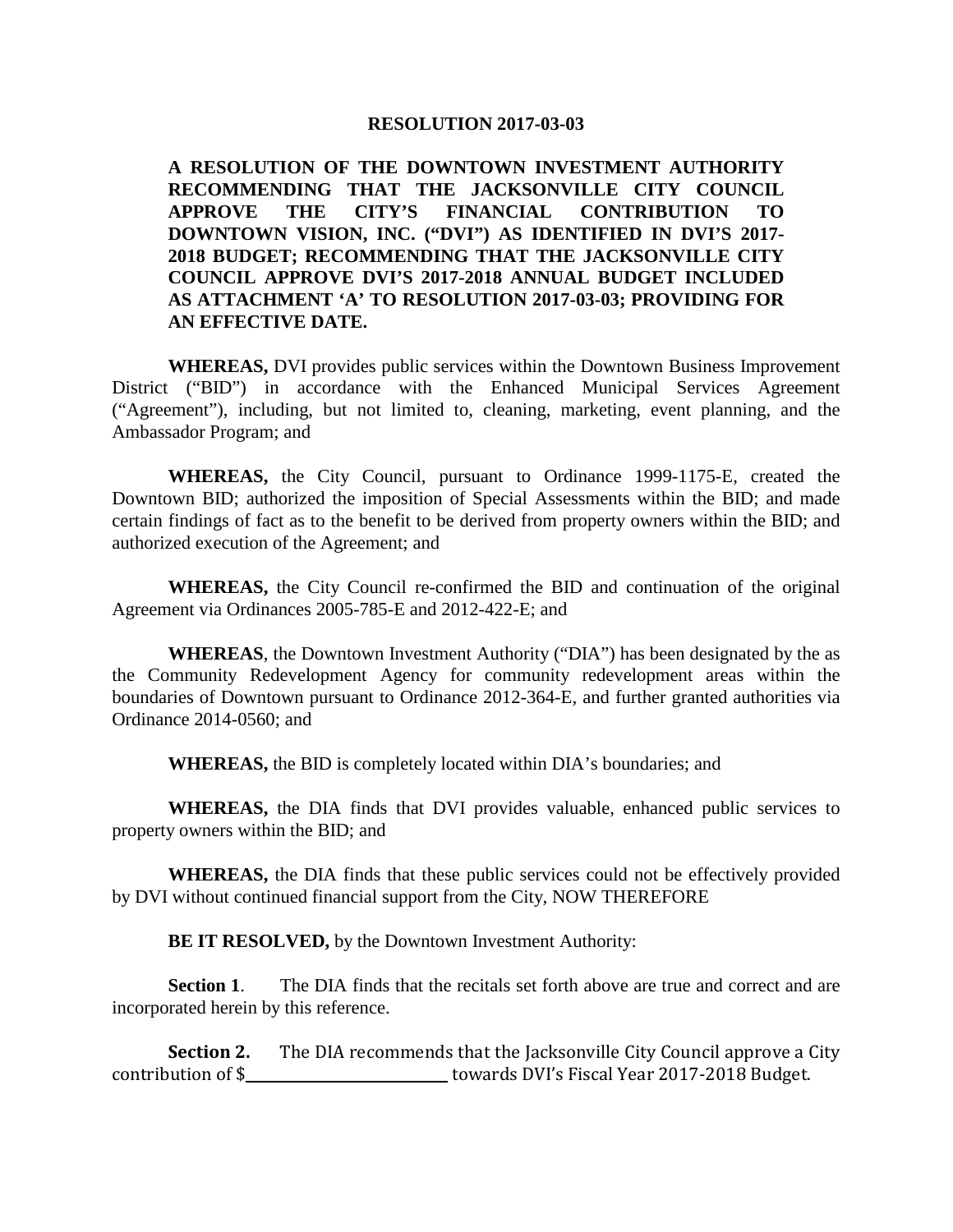**A RESOLUTION OF THE DOWNTOWN INVESTMENT AUTHORITY RECOMMENDING THAT THE JACKSONVILLE CITY COUNCIL APPROVE THE CITY'S FINANCIAL CONTRIBUTION TO DOWNTOWN VISION, INC. ("DVI") AS IDENTIFIED IN DVI'S 2017- 2018 BUDGET; RECOMMENDING THAT THE JACKSONVILLE CITY COUNCIL APPROVE DVI'S 2017-2018 ANNUAL BUDGET INCLUDED AS ATTACHMENT 'A' TO RESOLUTION 2017-03-03; PROVIDING FOR AN EFFECTIVE DATE.** 

**WHEREAS,** DVI provides public services within the Downtown Business Improvement District ("BID") in accordance with the Enhanced Municipal Services Agreement ("Agreement"), including, but not limited to, cleaning, marketing, event planning, and the Ambassador Program; and

**WHEREAS,** the City Council, pursuant to Ordinance 1999-1175-E, created the Downtown BID; authorized the imposition of Special Assessments within the BID; and made certain findings of fact as to the benefit to be derived from property owners within the BID; and authorized execution of the Agreement; and

**WHEREAS,** the City Council re-confirmed the BID and continuation of the original Agreement via Ordinances 2005-785-E and 2012-422-E; and

**WHEREAS**, the Downtown Investment Authority ("DIA") has been designated by the as the Community Redevelopment Agency for community redevelopment areas within the boundaries of Downtown pursuant to Ordinance 2012-364-E, and further granted authorities via Ordinance 2014-0560; and

**WHEREAS,** the BID is completely located within DIA's boundaries; and

**WHEREAS,** the DIA finds that DVI provides valuable, enhanced public services to property owners within the BID; and

**WHEREAS,** the DIA finds that these public services could not be effectively provided by DVI without continued financial support from the City, NOW THEREFORE

**BE IT RESOLVED,** by the Downtown Investment Authority:

**Section 1**. The DIA finds that the recitals set forth above are true and correct and are incorporated herein by this reference.

**Section 2.** The DIA recommends that the Jacksonville City Council approve a City contribution of \$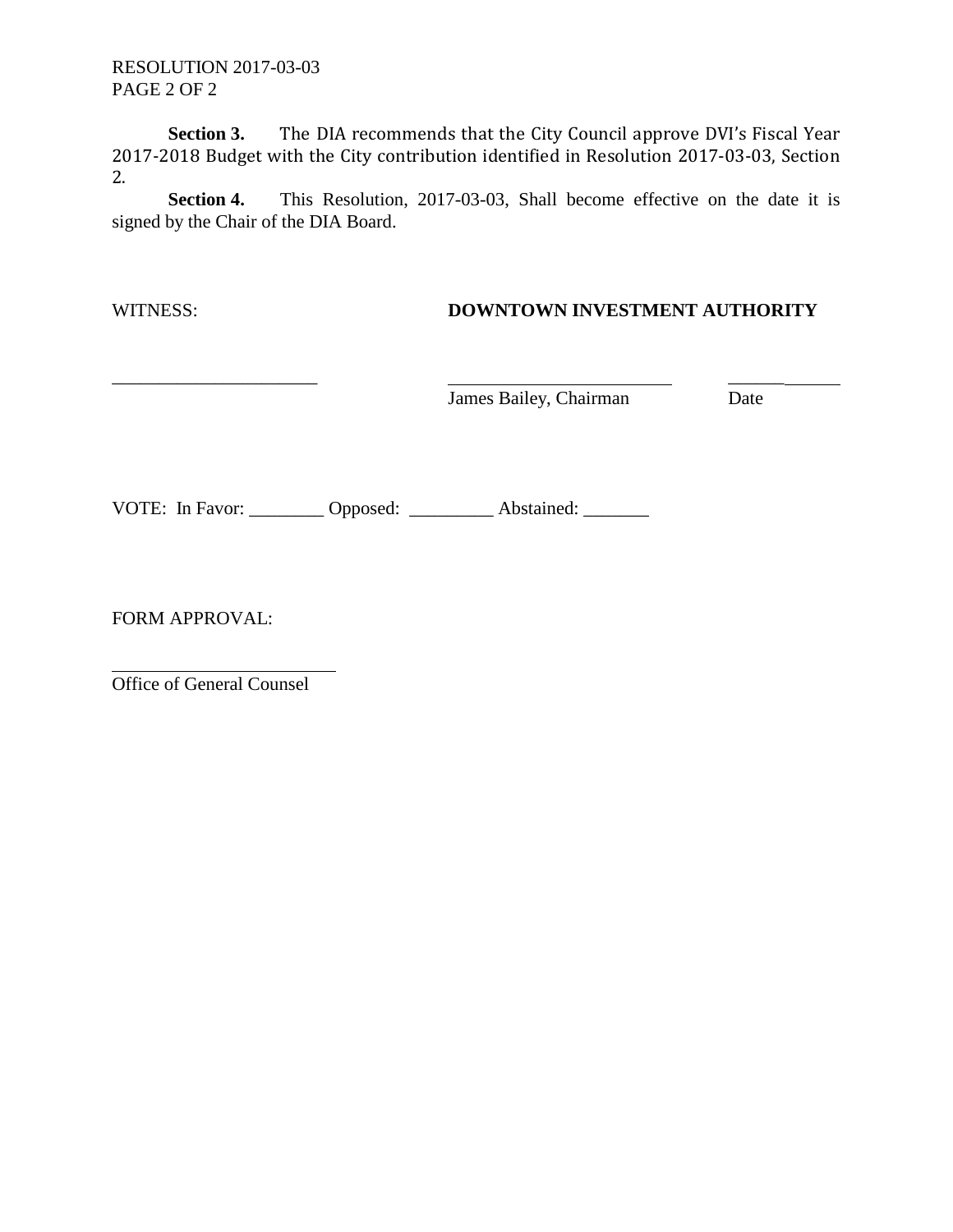RESOLUTION 2017-03-03 PAGE 2 OF 2

**Section 3.** The DIA recommends that the City Council approve DVI's Fiscal Year 2017-2018 Budget with the City contribution identified in Resolution 2017-03-03, Section 2.

**Section 4.** This Resolution, 2017-03-03, Shall become effective on the date it is signed by the Chair of the DIA Board.

### WITNESS: **DOWNTOWN INVESTMENT AUTHORITY**

 $\overline{\phantom{a}}$  ,  $\overline{\phantom{a}}$  ,  $\overline{\phantom{a}}$  ,  $\overline{\phantom{a}}$  ,  $\overline{\phantom{a}}$  ,  $\overline{\phantom{a}}$  ,  $\overline{\phantom{a}}$  ,  $\overline{\phantom{a}}$  ,  $\overline{\phantom{a}}$  ,  $\overline{\phantom{a}}$  ,  $\overline{\phantom{a}}$  ,  $\overline{\phantom{a}}$  ,  $\overline{\phantom{a}}$  ,  $\overline{\phantom{a}}$  ,  $\overline{\phantom{a}}$  ,  $\overline{\phantom{a}}$ **James Bailey, Chairman** Date

VOTE: In Favor: \_\_\_\_\_\_\_\_ Opposed: \_\_\_\_\_\_\_\_ Abstained: \_\_\_\_\_\_\_

FORM APPROVAL:

Office of General Counsel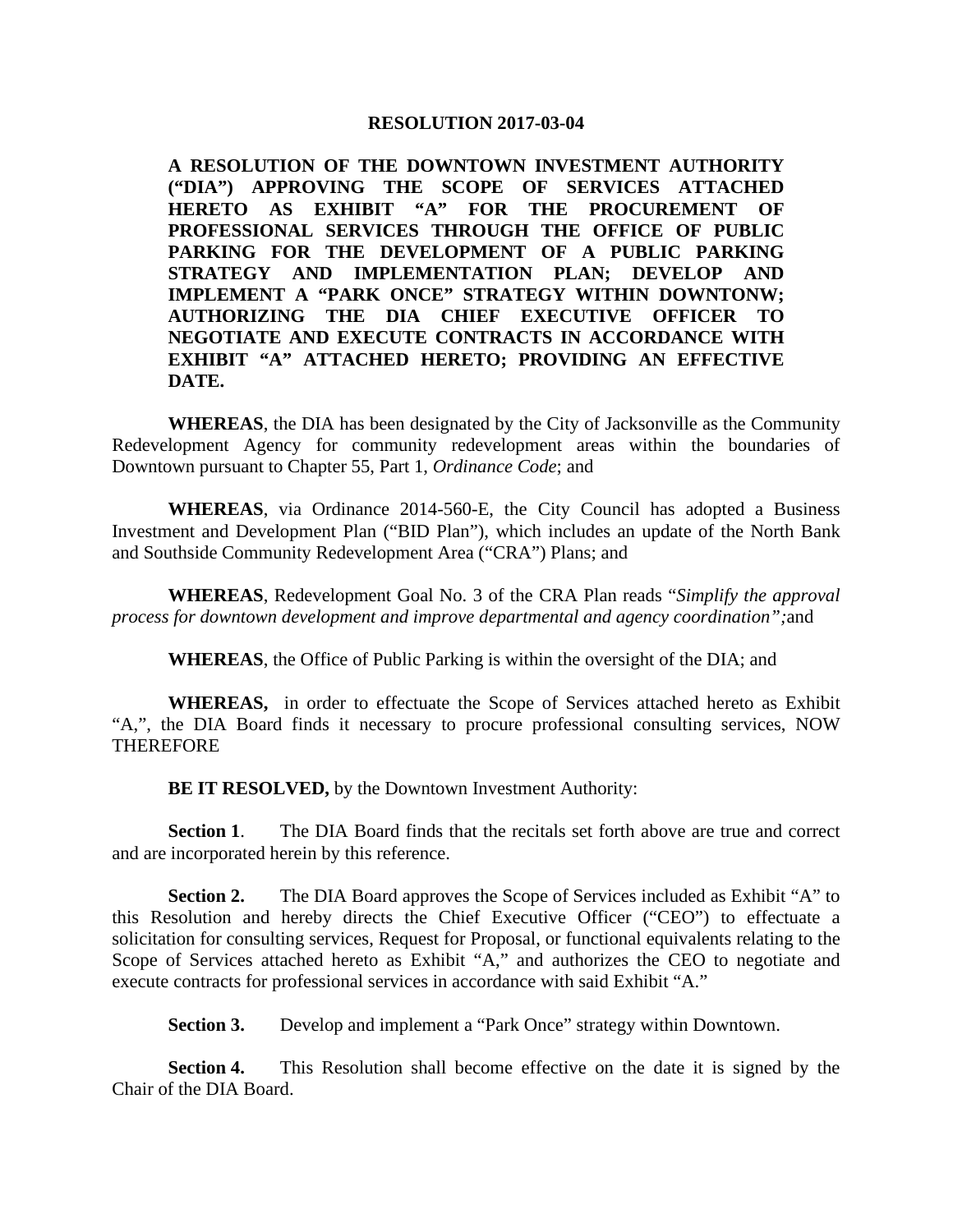**A RESOLUTION OF THE DOWNTOWN INVESTMENT AUTHORITY ("DIA") APPROVING THE SCOPE OF SERVICES ATTACHED HERETO AS EXHIBIT "A" FOR THE PROCUREMENT OF PROFESSIONAL SERVICES THROUGH THE OFFICE OF PUBLIC PARKING FOR THE DEVELOPMENT OF A PUBLIC PARKING STRATEGY AND IMPLEMENTATION PLAN; DEVELOP AND IMPLEMENT A "PARK ONCE" STRATEGY WITHIN DOWNTONW; AUTHORIZING THE DIA CHIEF EXECUTIVE OFFICER TO NEGOTIATE AND EXECUTE CONTRACTS IN ACCORDANCE WITH EXHIBIT "A" ATTACHED HERETO; PROVIDING AN EFFECTIVE DATE.**

**WHEREAS**, the DIA has been designated by the City of Jacksonville as the Community Redevelopment Agency for community redevelopment areas within the boundaries of Downtown pursuant to Chapter 55, Part 1, *Ordinance Code*; and

**WHEREAS**, via Ordinance 2014-560-E, the City Council has adopted a Business Investment and Development Plan ("BID Plan"), which includes an update of the North Bank and Southside Community Redevelopment Area ("CRA") Plans; and

**WHEREAS**, Redevelopment Goal No. 3 of the CRA Plan reads "*Simplify the approval process for downtown development and improve departmental and agency coordination";*and

**WHEREAS**, the Office of Public Parking is within the oversight of the DIA; and

**WHEREAS,** in order to effectuate the Scope of Services attached hereto as Exhibit "A,", the DIA Board finds it necessary to procure professional consulting services, NOW **THEREFORE** 

**BE IT RESOLVED,** by the Downtown Investment Authority:

**Section 1.** The DIA Board finds that the recitals set forth above are true and correct and are incorporated herein by this reference.

**Section 2.** The DIA Board approves the Scope of Services included as Exhibit "A" to this Resolution and hereby directs the Chief Executive Officer ("CEO") to effectuate a solicitation for consulting services, Request for Proposal, or functional equivalents relating to the Scope of Services attached hereto as Exhibit "A," and authorizes the CEO to negotiate and execute contracts for professional services in accordance with said Exhibit "A."

**Section 3.** Develop and implement a "Park Once" strategy within Downtown.

**Section 4.** This Resolution shall become effective on the date it is signed by the Chair of the DIA Board.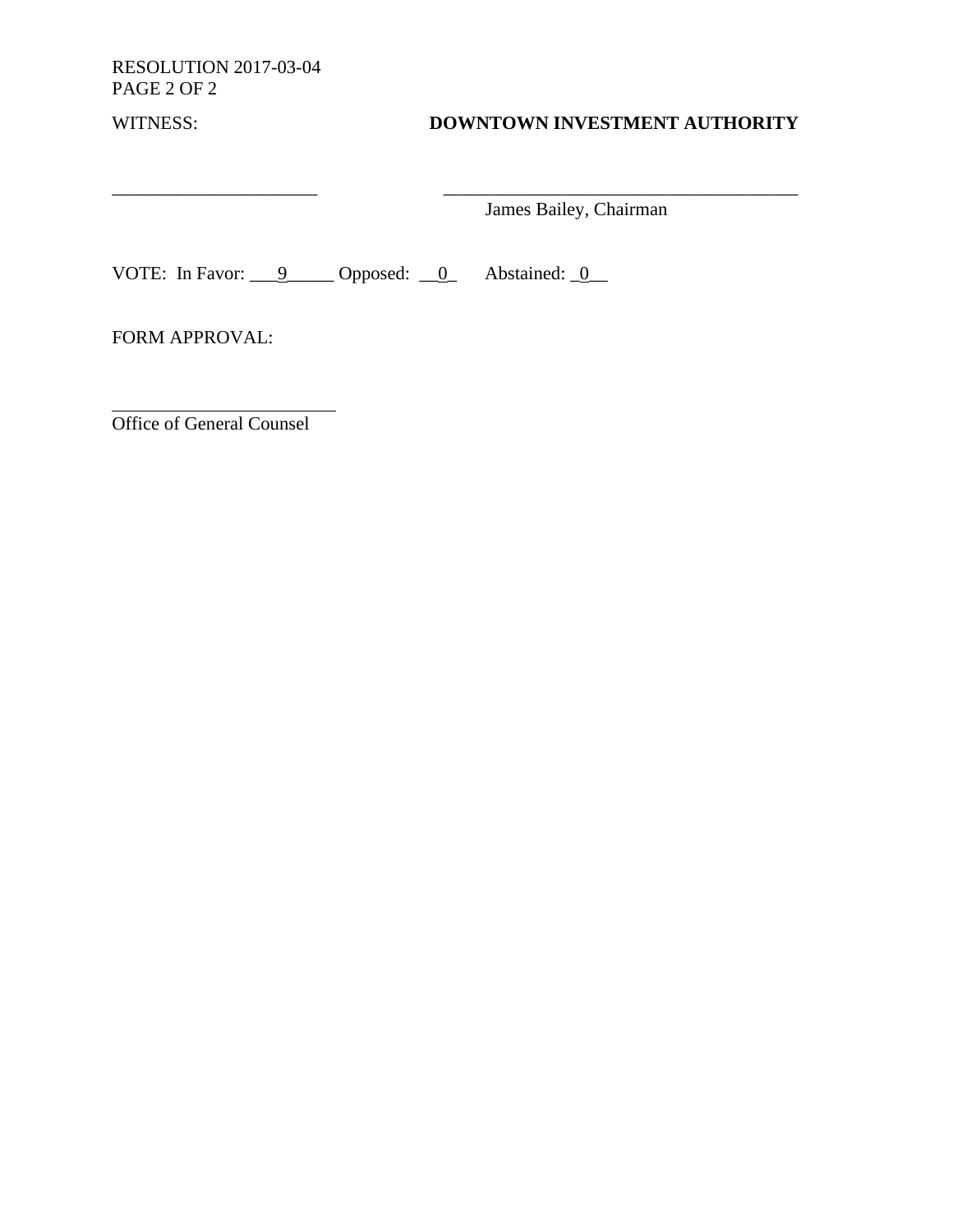RESOLUTION 2017-03-04 PAGE 2 OF 2

 $\frac{1}{2}$  ,  $\frac{1}{2}$  ,  $\frac{1}{2}$  ,  $\frac{1}{2}$  ,  $\frac{1}{2}$  ,  $\frac{1}{2}$  ,  $\frac{1}{2}$  ,  $\frac{1}{2}$  ,  $\frac{1}{2}$  ,  $\frac{1}{2}$  ,  $\frac{1}{2}$  ,  $\frac{1}{2}$  ,  $\frac{1}{2}$  ,  $\frac{1}{2}$  ,  $\frac{1}{2}$  ,  $\frac{1}{2}$  ,  $\frac{1}{2}$  ,  $\frac{1}{2}$  ,  $\frac{1$ 

# WITNESS: **DOWNTOWN INVESTMENT AUTHORITY**

James Bailey, Chairman

VOTE: In Favor:  $\underline{\qquad 9}$  Opposed:  $\underline{\qquad 0}$  Abstained:  $\underline{\qquad 0}$ 

FORM APPROVAL:

Office of General Counsel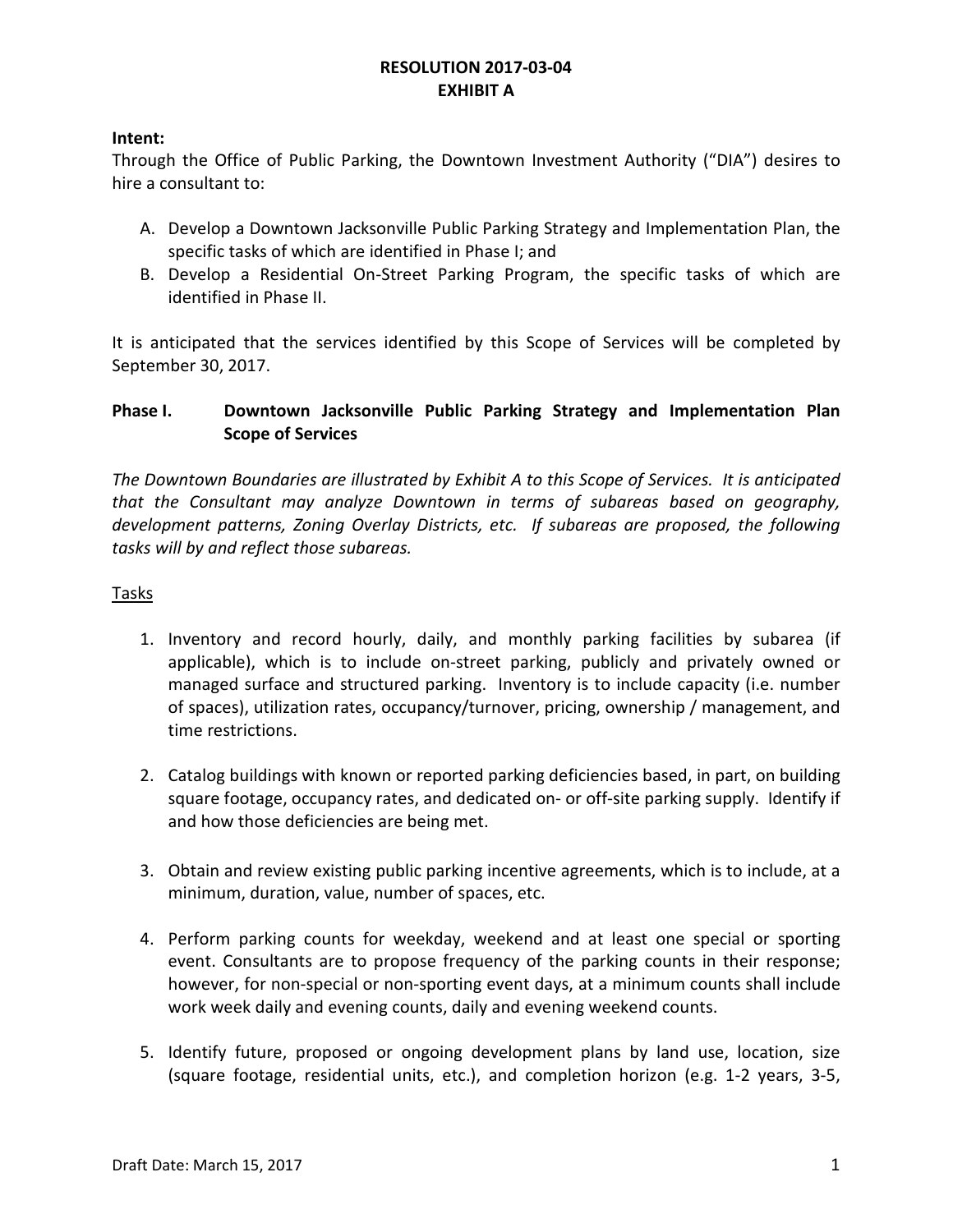### **Intent:**

Through the Office of Public Parking, the Downtown Investment Authority ("DIA") desires to hire a consultant to:

- A. Develop a Downtown Jacksonville Public Parking Strategy and Implementation Plan, the specific tasks of which are identified in Phase I; and
- B. Develop a Residential On-Street Parking Program, the specific tasks of which are identified in Phase II.

It is anticipated that the services identified by this Scope of Services will be completed by September 30, 2017.

### **Phase I. Downtown Jacksonville Public Parking Strategy and Implementation Plan Scope of Services**

*The Downtown Boundaries are illustrated by Exhibit A to this Scope of Services. It is anticipated that the Consultant may analyze Downtown in terms of subareas based on geography, development patterns, Zoning Overlay Districts, etc. If subareas are proposed, the following tasks will by and reflect those subareas.*

### Tasks

- 1. Inventory and record hourly, daily, and monthly parking facilities by subarea (if applicable), which is to include on-street parking, publicly and privately owned or managed surface and structured parking. Inventory is to include capacity (i.e. number of spaces), utilization rates, occupancy/turnover, pricing, ownership / management, and time restrictions.
- 2. Catalog buildings with known or reported parking deficiencies based, in part, on building square footage, occupancy rates, and dedicated on- or off-site parking supply. Identify if and how those deficiencies are being met.
- 3. Obtain and review existing public parking incentive agreements, which is to include, at a minimum, duration, value, number of spaces, etc.
- 4. Perform parking counts for weekday, weekend and at least one special or sporting event. Consultants are to propose frequency of the parking counts in their response; however, for non-special or non-sporting event days, at a minimum counts shall include work week daily and evening counts, daily and evening weekend counts.
- 5. Identify future, proposed or ongoing development plans by land use, location, size (square footage, residential units, etc.), and completion horizon (e.g. 1-2 years, 3-5,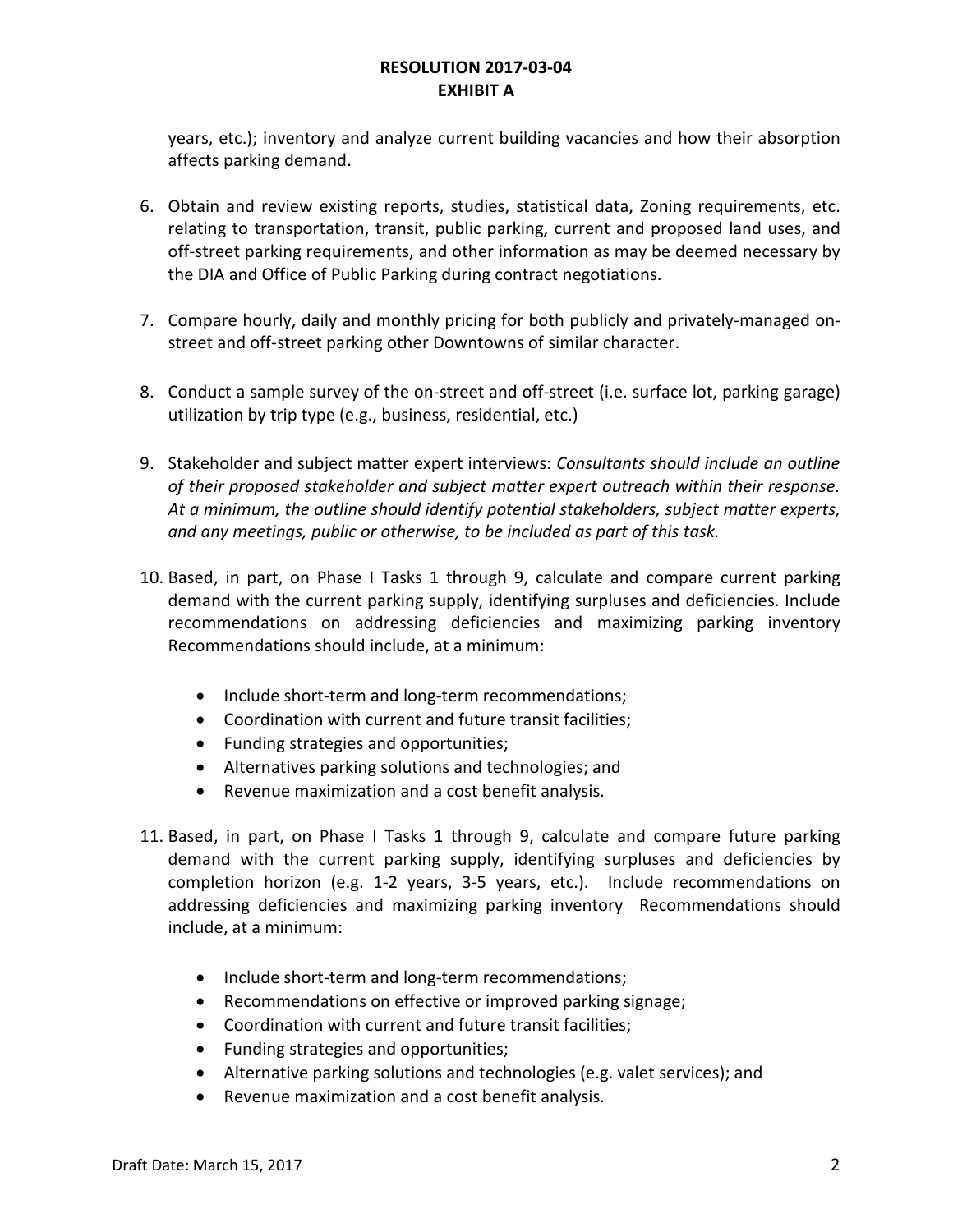years, etc.); inventory and analyze current building vacancies and how their absorption affects parking demand.

- 6. Obtain and review existing reports, studies, statistical data, Zoning requirements, etc. relating to transportation, transit, public parking, current and proposed land uses, and off-street parking requirements, and other information as may be deemed necessary by the DIA and Office of Public Parking during contract negotiations.
- 7. Compare hourly, daily and monthly pricing for both publicly and privately-managed onstreet and off-street parking other Downtowns of similar character.
- 8. Conduct a sample survey of the on-street and off-street (i.e. surface lot, parking garage) utilization by trip type (e.g., business, residential, etc.)
- 9. Stakeholder and subject matter expert interviews: *Consultants should include an outline of their proposed stakeholder and subject matter expert outreach within their response. At a minimum, the outline should identify potential stakeholders, subject matter experts, and any meetings, public or otherwise, to be included as part of this task.*
- 10. Based, in part, on Phase I Tasks 1 through 9, calculate and compare current parking demand with the current parking supply, identifying surpluses and deficiencies. Include recommendations on addressing deficiencies and maximizing parking inventory Recommendations should include, at a minimum:
	- Include short-term and long-term recommendations;
	- Coordination with current and future transit facilities;
	- Funding strategies and opportunities;
	- Alternatives parking solutions and technologies; and
	- Revenue maximization and a cost benefit analysis.
- 11. Based, in part, on Phase I Tasks 1 through 9, calculate and compare future parking demand with the current parking supply, identifying surpluses and deficiencies by completion horizon (e.g. 1-2 years, 3-5 years, etc.). Include recommendations on addressing deficiencies and maximizing parking inventory Recommendations should include, at a minimum:
	- Include short-term and long-term recommendations;
	- Recommendations on effective or improved parking signage;
	- Coordination with current and future transit facilities;
	- Funding strategies and opportunities;
	- Alternative parking solutions and technologies (e.g. valet services); and
	- Revenue maximization and a cost benefit analysis.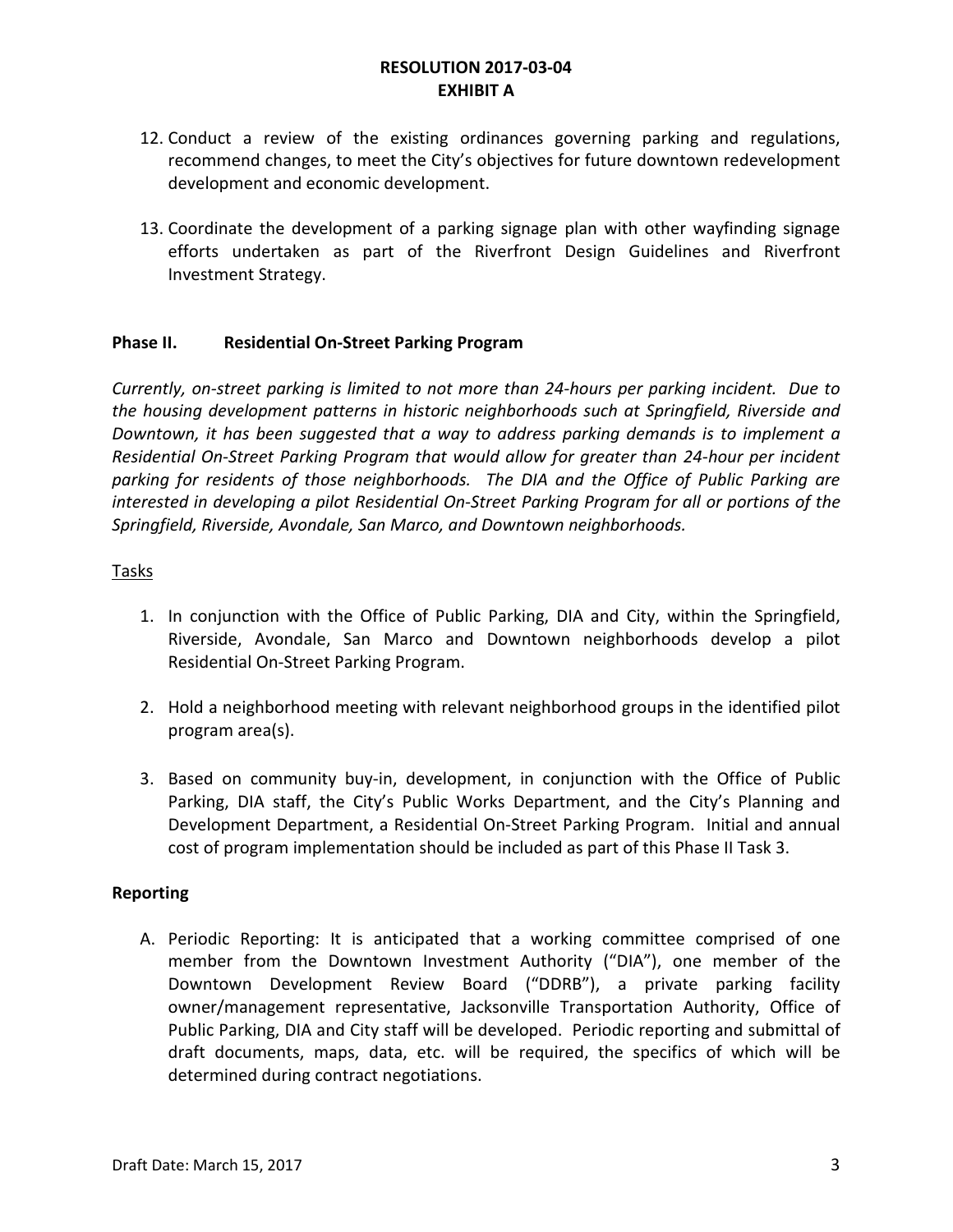- 12. Conduct a review of the existing ordinances governing parking and regulations, recommend changes, to meet the City's objectives for future downtown redevelopment development and economic development.
- 13. Coordinate the development of a parking signage plan with other wayfinding signage efforts undertaken as part of the Riverfront Design Guidelines and Riverfront Investment Strategy.

### **Phase II. Residential On-Street Parking Program**

*Currently, on-street parking is limited to not more than 24-hours per parking incident. Due to the housing development patterns in historic neighborhoods such at Springfield, Riverside and Downtown, it has been suggested that a way to address parking demands is to implement a Residential On-Street Parking Program that would allow for greater than 24-hour per incident parking for residents of those neighborhoods. The DIA and the Office of Public Parking are interested in developing a pilot Residential On-Street Parking Program for all or portions of the Springfield, Riverside, Avondale, San Marco, and Downtown neighborhoods.*

### Tasks

- 1. In conjunction with the Office of Public Parking, DIA and City, within the Springfield, Riverside, Avondale, San Marco and Downtown neighborhoods develop a pilot Residential On-Street Parking Program.
- 2. Hold a neighborhood meeting with relevant neighborhood groups in the identified pilot program area(s).
- 3. Based on community buy-in, development, in conjunction with the Office of Public Parking, DIA staff, the City's Public Works Department, and the City's Planning and Development Department, a Residential On-Street Parking Program. Initial and annual cost of program implementation should be included as part of this Phase II Task 3.

### **Reporting**

A. Periodic Reporting: It is anticipated that a working committee comprised of one member from the Downtown Investment Authority ("DIA"), one member of the Downtown Development Review Board ("DDRB"), a private parking facility owner/management representative, Jacksonville Transportation Authority, Office of Public Parking, DIA and City staff will be developed. Periodic reporting and submittal of draft documents, maps, data, etc. will be required, the specifics of which will be determined during contract negotiations.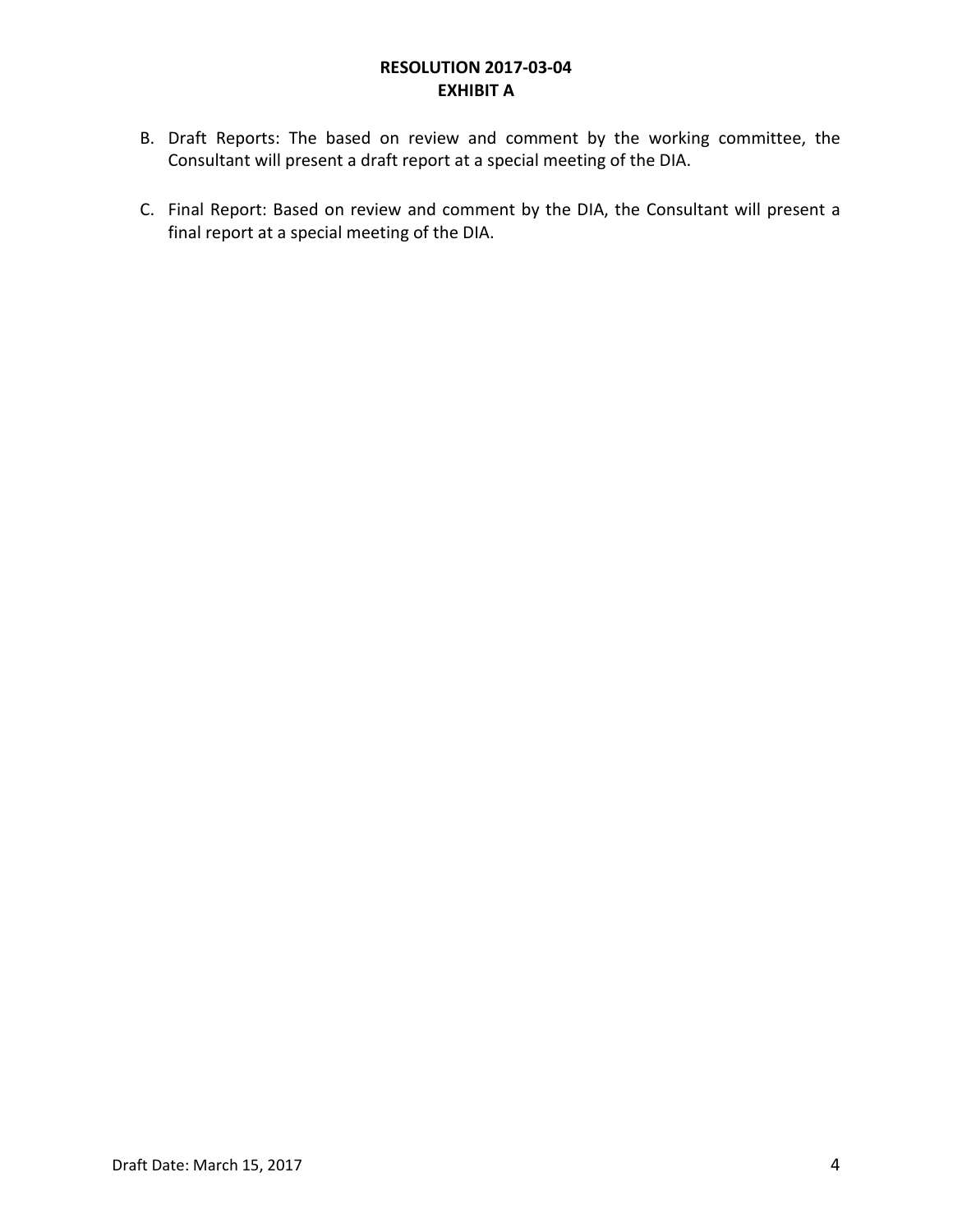- B. Draft Reports: The based on review and comment by the working committee, the Consultant will present a draft report at a special meeting of the DIA.
- C. Final Report: Based on review and comment by the DIA, the Consultant will present a final report at a special meeting of the DIA.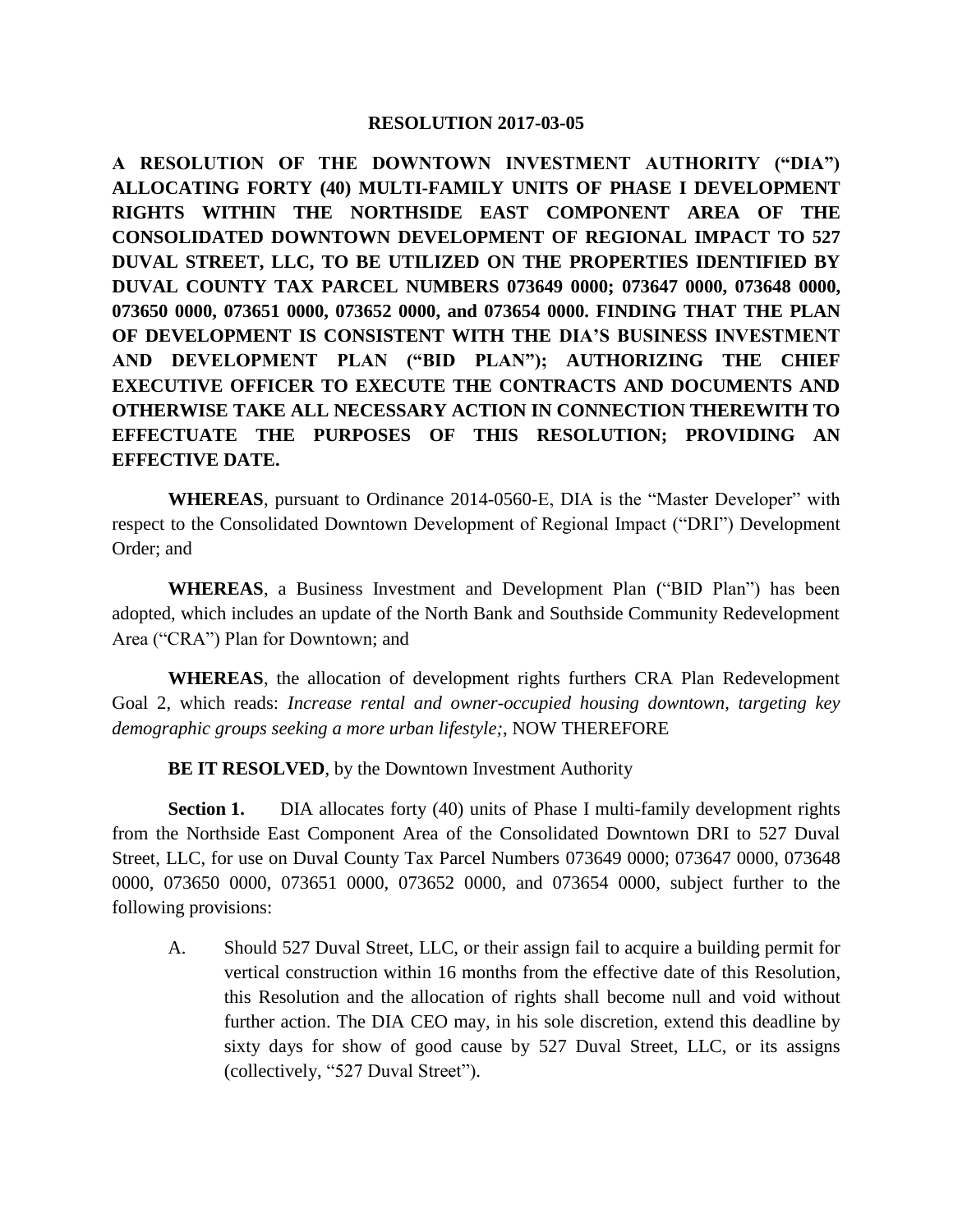**A RESOLUTION OF THE DOWNTOWN INVESTMENT AUTHORITY ("DIA") ALLOCATING FORTY (40) MULTI-FAMILY UNITS OF PHASE I DEVELOPMENT RIGHTS WITHIN THE NORTHSIDE EAST COMPONENT AREA OF THE CONSOLIDATED DOWNTOWN DEVELOPMENT OF REGIONAL IMPACT TO 527 DUVAL STREET, LLC, TO BE UTILIZED ON THE PROPERTIES IDENTIFIED BY DUVAL COUNTY TAX PARCEL NUMBERS 073649 0000; 073647 0000, 073648 0000, 073650 0000, 073651 0000, 073652 0000, and 073654 0000. FINDING THAT THE PLAN OF DEVELOPMENT IS CONSISTENT WITH THE DIA'S BUSINESS INVESTMENT AND DEVELOPMENT PLAN ("BID PLAN"); AUTHORIZING THE CHIEF EXECUTIVE OFFICER TO EXECUTE THE CONTRACTS AND DOCUMENTS AND OTHERWISE TAKE ALL NECESSARY ACTION IN CONNECTION THEREWITH TO EFFECTUATE THE PURPOSES OF THIS RESOLUTION; PROVIDING AN EFFECTIVE DATE.**

**WHEREAS**, pursuant to Ordinance 2014-0560-E, DIA is the "Master Developer" with respect to the Consolidated Downtown Development of Regional Impact ("DRI") Development Order; and

**WHEREAS**, a Business Investment and Development Plan ("BID Plan") has been adopted, which includes an update of the North Bank and Southside Community Redevelopment Area ("CRA") Plan for Downtown; and

**WHEREAS**, the allocation of development rights furthers CRA Plan Redevelopment Goal 2, which reads: *Increase rental and owner-occupied housing downtown, targeting key demographic groups seeking a more urban lifestyle;*, NOW THEREFORE

**BE IT RESOLVED**, by the Downtown Investment Authority

**Section 1.** DIA allocates forty (40) units of Phase I multi-family development rights from the Northside East Component Area of the Consolidated Downtown DRI to 527 Duval Street, LLC, for use on Duval County Tax Parcel Numbers 073649 0000; 073647 0000, 073648 0000, 073650 0000, 073651 0000, 073652 0000, and 073654 0000, subject further to the following provisions:

A. Should 527 Duval Street, LLC, or their assign fail to acquire a building permit for vertical construction within 16 months from the effective date of this Resolution, this Resolution and the allocation of rights shall become null and void without further action. The DIA CEO may, in his sole discretion, extend this deadline by sixty days for show of good cause by 527 Duval Street, LLC, or its assigns (collectively, "527 Duval Street").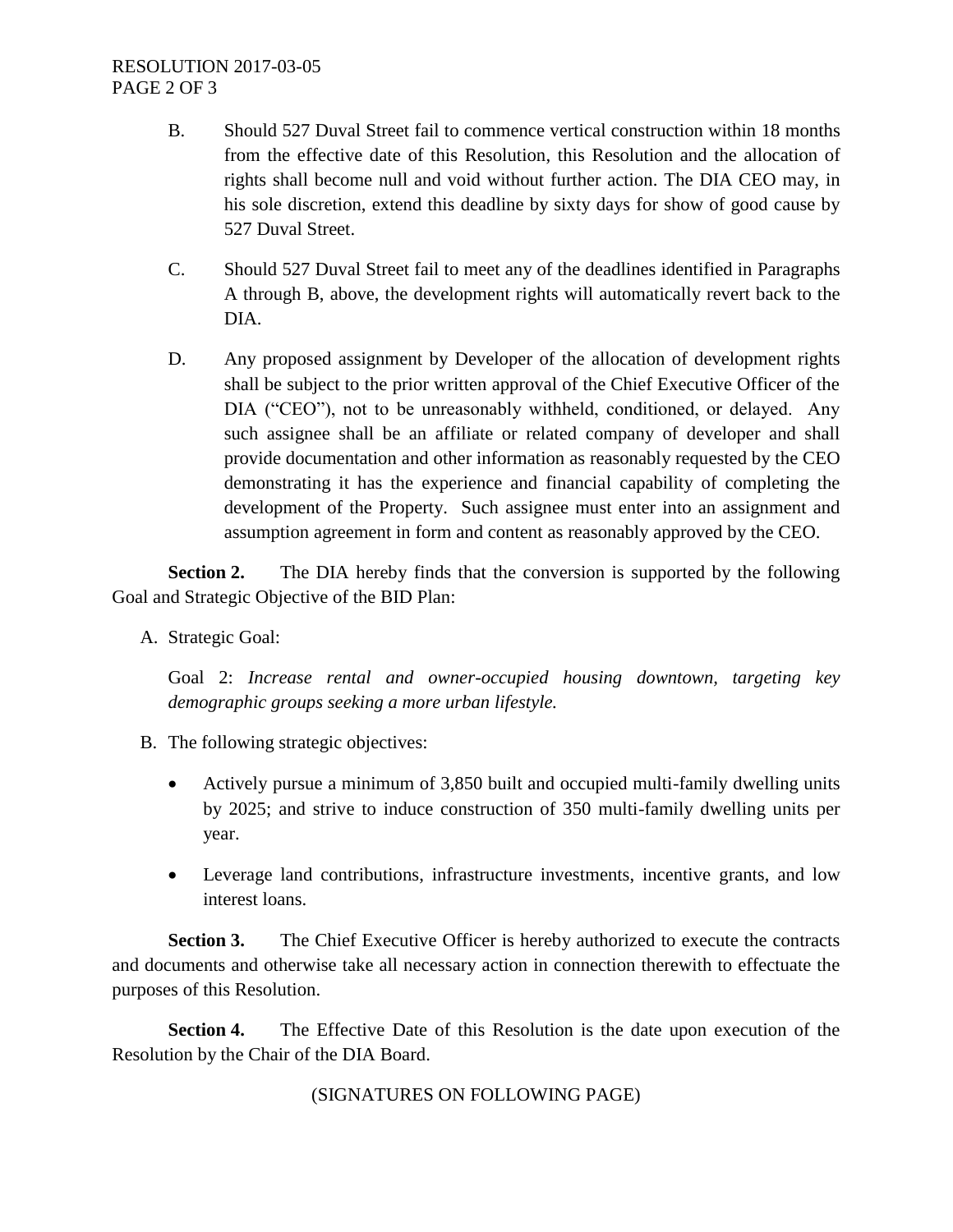- B. Should 527 Duval Street fail to commence vertical construction within 18 months from the effective date of this Resolution, this Resolution and the allocation of rights shall become null and void without further action. The DIA CEO may, in his sole discretion, extend this deadline by sixty days for show of good cause by 527 Duval Street.
- C. Should 527 Duval Street fail to meet any of the deadlines identified in Paragraphs A through B, above, the development rights will automatically revert back to the DIA.
- D. Any proposed assignment by Developer of the allocation of development rights shall be subject to the prior written approval of the Chief Executive Officer of the DIA ("CEO"), not to be unreasonably withheld, conditioned, or delayed. Any such assignee shall be an affiliate or related company of developer and shall provide documentation and other information as reasonably requested by the CEO demonstrating it has the experience and financial capability of completing the development of the Property. Such assignee must enter into an assignment and assumption agreement in form and content as reasonably approved by the CEO.

**Section 2.** The DIA hereby finds that the conversion is supported by the following Goal and Strategic Objective of the BID Plan:

A. Strategic Goal:

Goal 2: *Increase rental and owner-occupied housing downtown, targeting key demographic groups seeking a more urban lifestyle.*

- B. The following strategic objectives:
	- Actively pursue a minimum of 3,850 built and occupied multi-family dwelling units by 2025; and strive to induce construction of 350 multi-family dwelling units per year.
	- Leverage land contributions, infrastructure investments, incentive grants, and low interest loans.

**Section 3.** The Chief Executive Officer is hereby authorized to execute the contracts and documents and otherwise take all necessary action in connection therewith to effectuate the purposes of this Resolution.

**Section 4.** The Effective Date of this Resolution is the date upon execution of the Resolution by the Chair of the DIA Board.

(SIGNATURES ON FOLLOWING PAGE)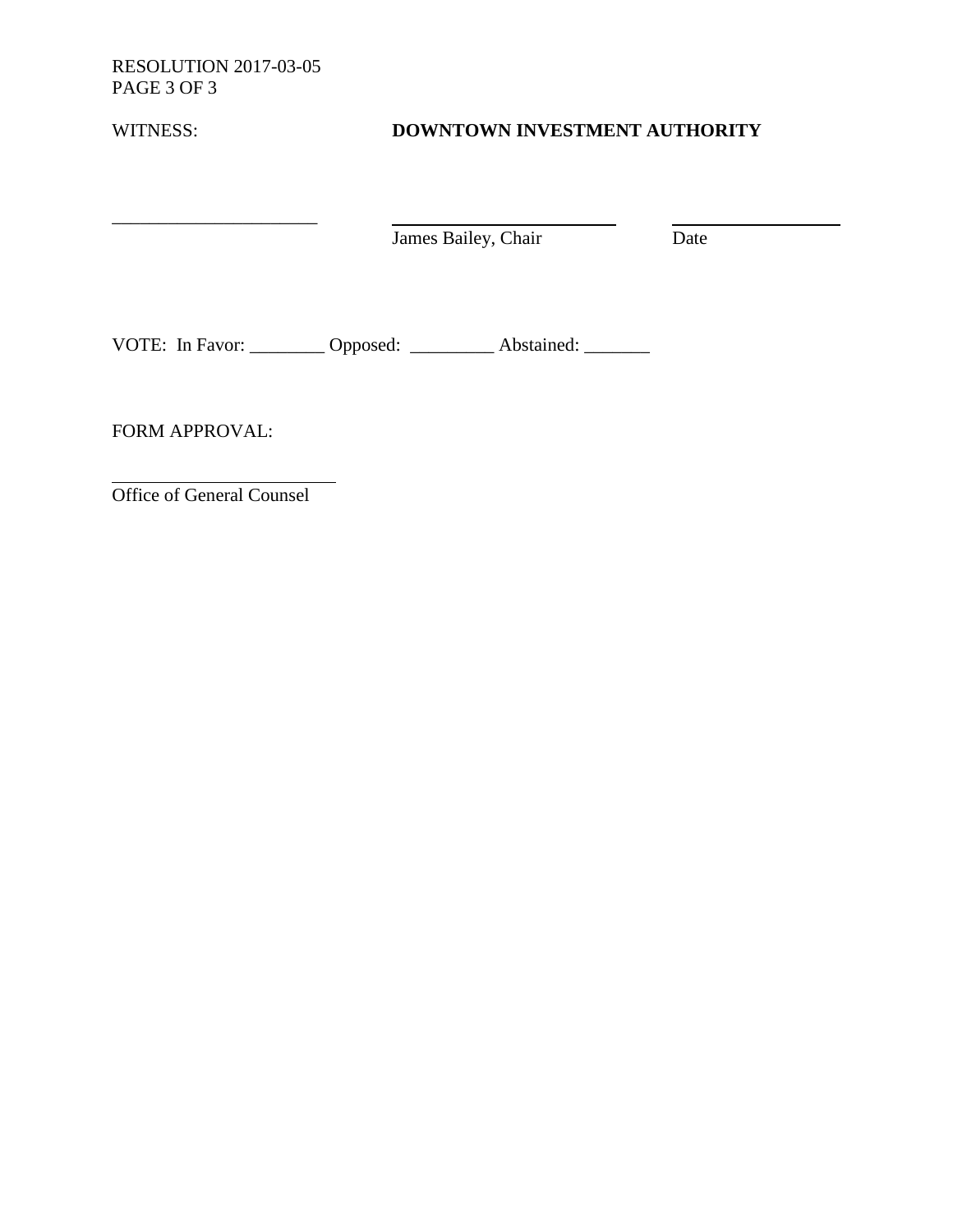RESOLUTION 2017-03-05 PAGE 3 OF 3

\_\_\_\_\_\_\_\_\_\_\_\_\_\_\_\_\_\_\_\_\_\_

| WITNESS: | DOWNTOWN INVESTMENT AUTHORITY |
|----------|-------------------------------|

James Bailey, Chair Date

VOTE: In Favor: \_\_\_\_\_\_\_\_ Opposed: \_\_\_\_\_\_\_\_ Abstained: \_\_\_\_\_\_\_

FORM APPROVAL:

Office of General Counsel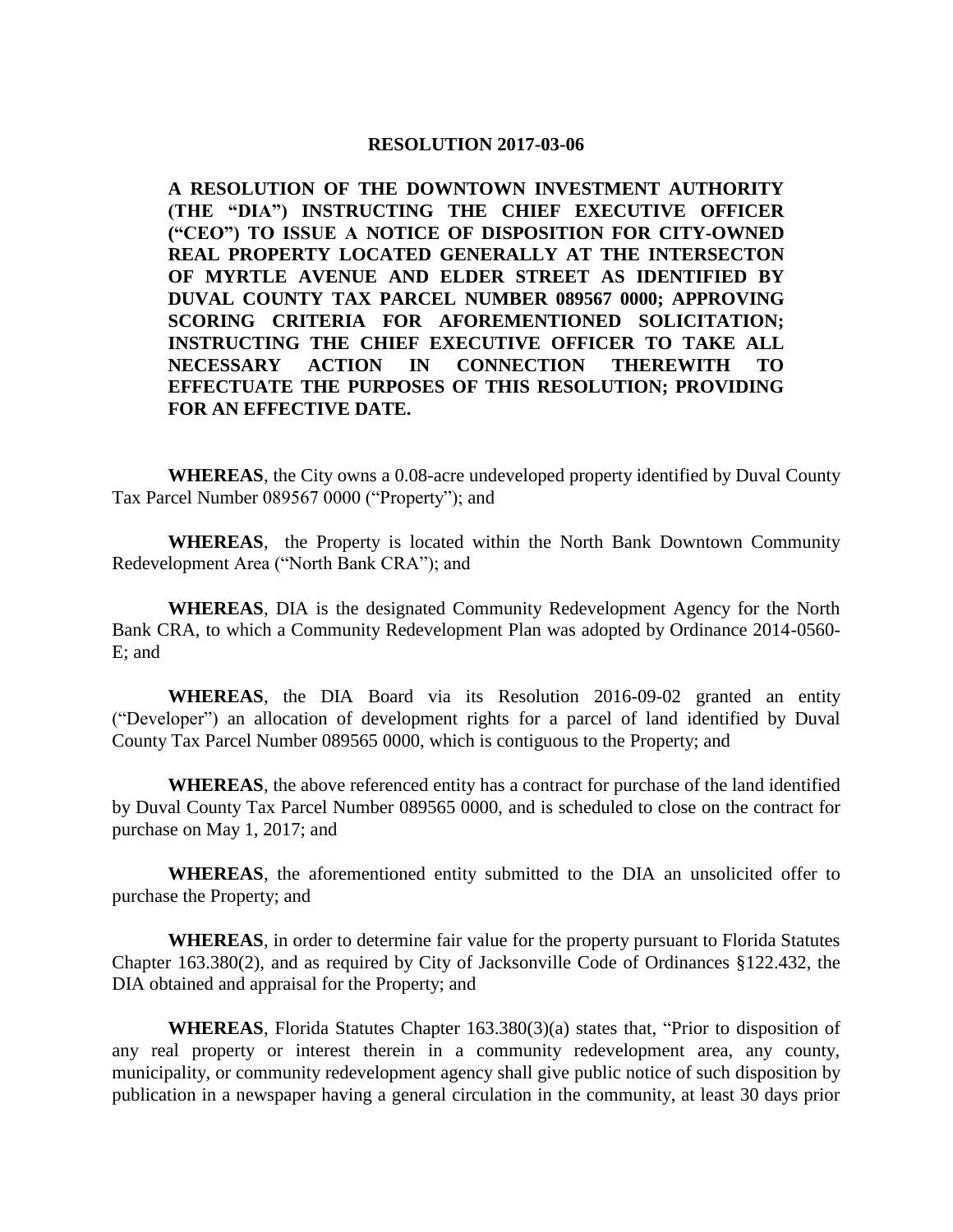**A RESOLUTION OF THE DOWNTOWN INVESTMENT AUTHORITY (THE "DIA") INSTRUCTING THE CHIEF EXECUTIVE OFFICER ("CEO") TO ISSUE A NOTICE OF DISPOSITION FOR CITY-OWNED REAL PROPERTY LOCATED GENERALLY AT THE INTERSECTON OF MYRTLE AVENUE AND ELDER STREET AS IDENTIFIED BY DUVAL COUNTY TAX PARCEL NUMBER 089567 0000; APPROVING SCORING CRITERIA FOR AFOREMENTIONED SOLICITATION; INSTRUCTING THE CHIEF EXECUTIVE OFFICER TO TAKE ALL NECESSARY ACTION IN CONNECTION THEREWITH TO EFFECTUATE THE PURPOSES OF THIS RESOLUTION; PROVIDING FOR AN EFFECTIVE DATE.** 

**WHEREAS**, the City owns a 0.08-acre undeveloped property identified by Duval County Tax Parcel Number 089567 0000 ("Property"); and

**WHEREAS**, the Property is located within the North Bank Downtown Community Redevelopment Area ("North Bank CRA"); and

**WHEREAS**, DIA is the designated Community Redevelopment Agency for the North Bank CRA, to which a Community Redevelopment Plan was adopted by Ordinance 2014-0560- E; and

**WHEREAS**, the DIA Board via its Resolution 2016-09-02 granted an entity ("Developer") an allocation of development rights for a parcel of land identified by Duval County Tax Parcel Number 089565 0000, which is contiguous to the Property; and

**WHEREAS**, the above referenced entity has a contract for purchase of the land identified by Duval County Tax Parcel Number 089565 0000, and is scheduled to close on the contract for purchase on May 1, 2017; and

**WHEREAS**, the aforementioned entity submitted to the DIA an unsolicited offer to purchase the Property; and

**WHEREAS**, in order to determine fair value for the property pursuant to Florida Statutes Chapter 163.380(2), and as required by City of Jacksonville Code of Ordinances §122.432, the DIA obtained and appraisal for the Property; and

**WHEREAS**, Florida Statutes Chapter 163.380(3)(a) states that, "Prior to disposition of any real property or interest therein in a community redevelopment area, any county, municipality, or community redevelopment agency shall give public notice of such disposition by publication in a newspaper having a general circulation in the community, at least 30 days prior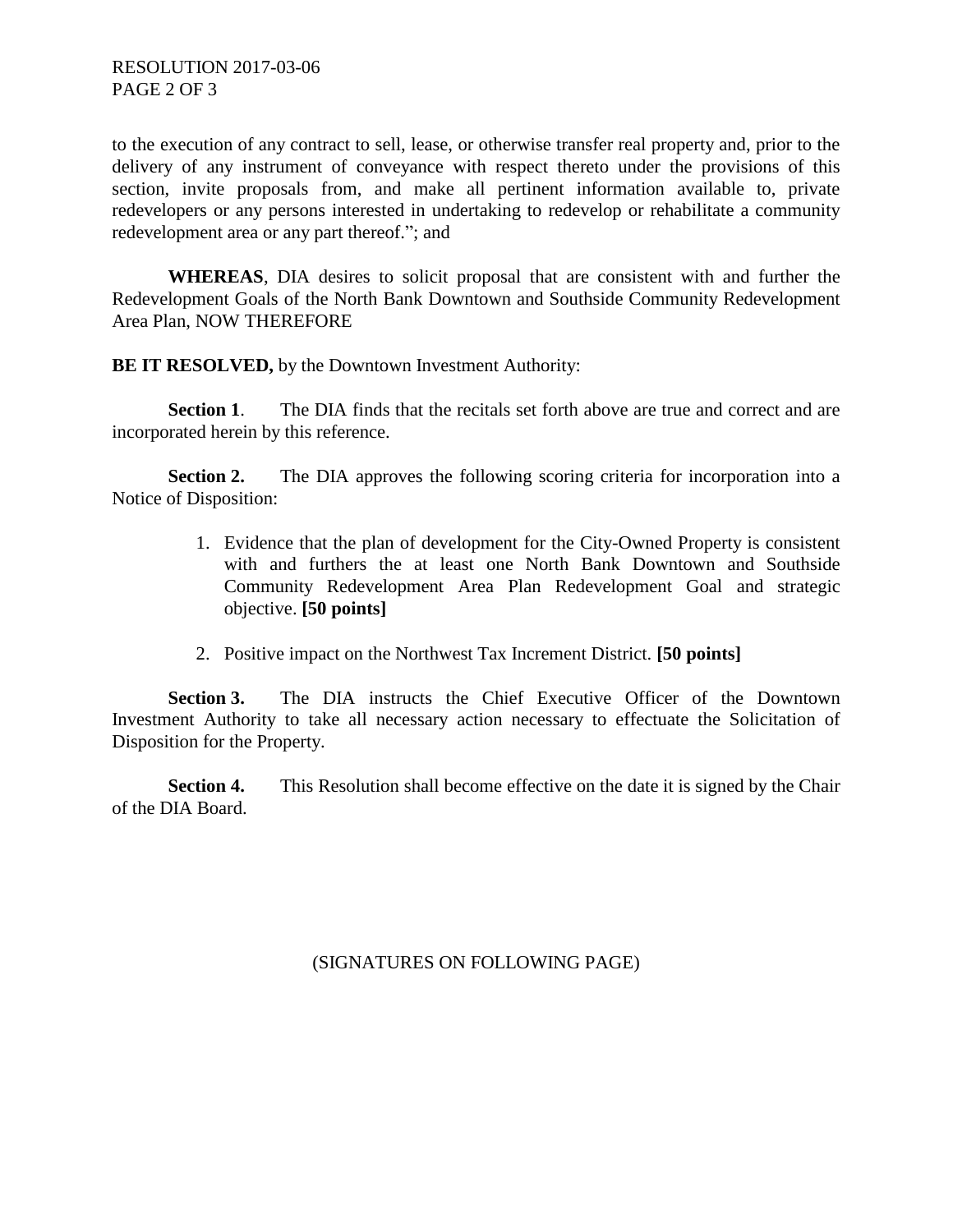to the execution of any contract to sell, lease, or otherwise transfer real property and, prior to the delivery of any instrument of conveyance with respect thereto under the provisions of this section, invite proposals from, and make all pertinent information available to, private redevelopers or any persons interested in undertaking to redevelop or rehabilitate a community redevelopment area or any part thereof."; and

**WHEREAS**, DIA desires to solicit proposal that are consistent with and further the Redevelopment Goals of the North Bank Downtown and Southside Community Redevelopment Area Plan, NOW THEREFORE

**BE IT RESOLVED,** by the Downtown Investment Authority:

**Section 1.** The DIA finds that the recitals set forth above are true and correct and are incorporated herein by this reference.

**Section 2.** The DIA approves the following scoring criteria for incorporation into a Notice of Disposition:

- 1. Evidence that the plan of development for the City-Owned Property is consistent with and furthers the at least one North Bank Downtown and Southside Community Redevelopment Area Plan Redevelopment Goal and strategic objective. **[50 points]**
- 2. Positive impact on the Northwest Tax Increment District. **[50 points]**

**Section 3.** The DIA instructs the Chief Executive Officer of the Downtown Investment Authority to take all necessary action necessary to effectuate the Solicitation of Disposition for the Property.

**Section 4.** This Resolution shall become effective on the date it is signed by the Chair of the DIA Board.

(SIGNATURES ON FOLLOWING PAGE)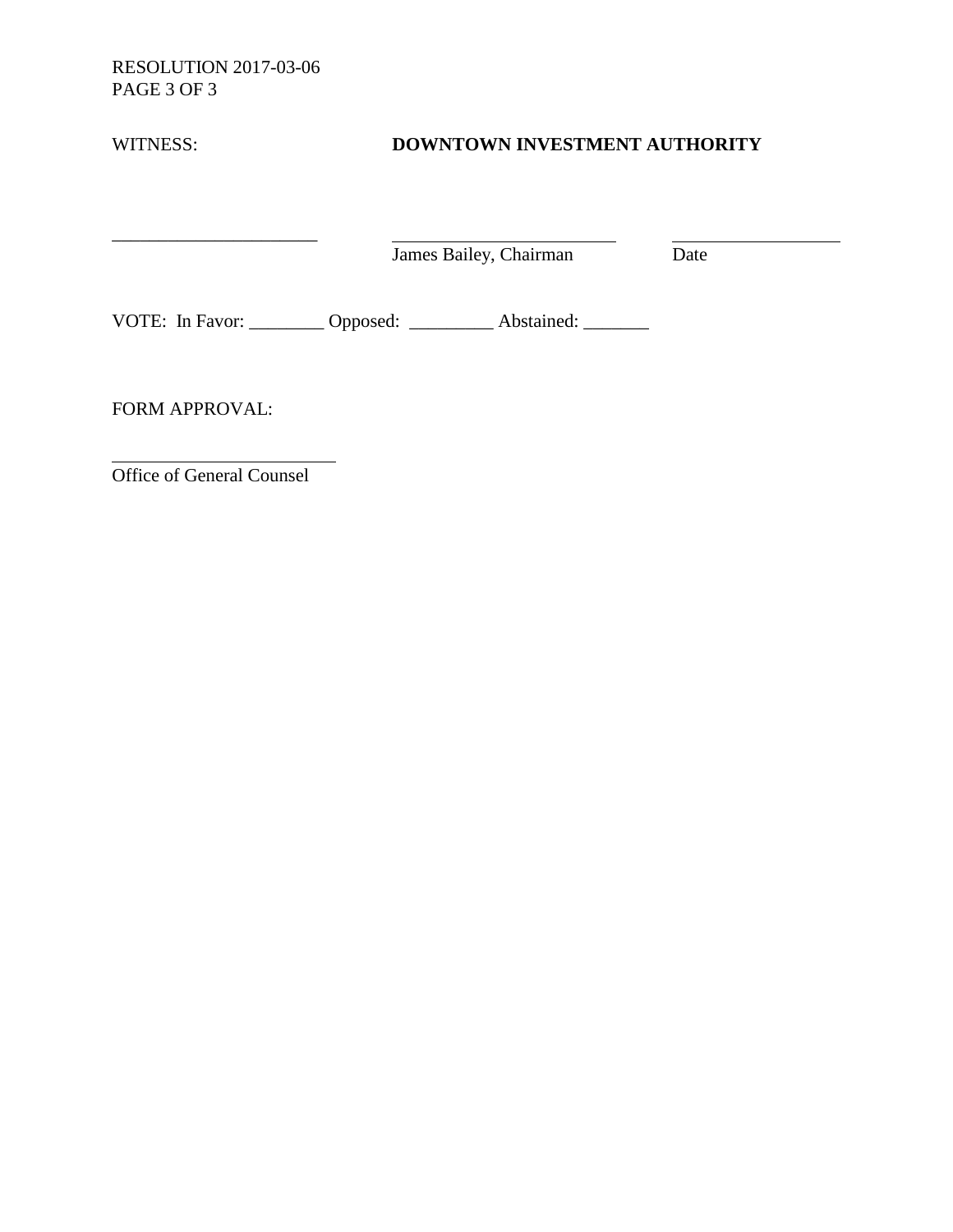RESOLUTION 2017-03-06 PAGE 3 OF 3

 $\overline{\phantom{a}}$  , where  $\overline{\phantom{a}}$ 

| WITNESS: | DOWNTOWN INVESTMENT AUTHORITY |  |
|----------|-------------------------------|--|
|          |                               |  |

James Bailey, Chairman Date

VOTE: In Favor: \_\_\_\_\_\_\_\_ Opposed: \_\_\_\_\_\_\_\_ Abstained: \_\_\_\_\_\_

FORM APPROVAL:

Office of General Counsel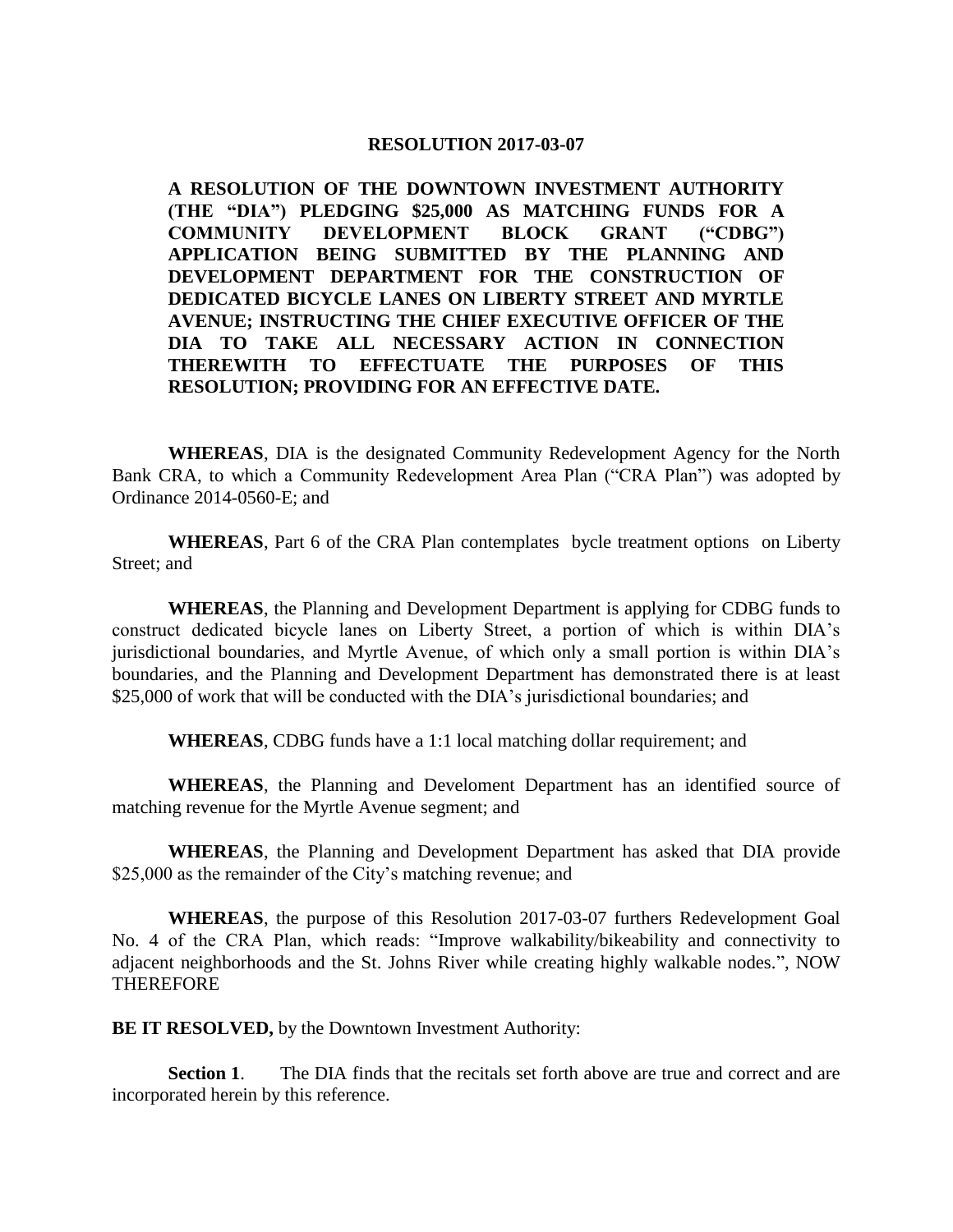**A RESOLUTION OF THE DOWNTOWN INVESTMENT AUTHORITY (THE "DIA") PLEDGING \$25,000 AS MATCHING FUNDS FOR A COMMUNITY DEVELOPMENT BLOCK GRANT ("CDBG") APPLICATION BEING SUBMITTED BY THE PLANNING AND DEVELOPMENT DEPARTMENT FOR THE CONSTRUCTION OF DEDICATED BICYCLE LANES ON LIBERTY STREET AND MYRTLE AVENUE; INSTRUCTING THE CHIEF EXECUTIVE OFFICER OF THE DIA TO TAKE ALL NECESSARY ACTION IN CONNECTION THEREWITH TO EFFECTUATE THE PURPOSES OF THIS RESOLUTION; PROVIDING FOR AN EFFECTIVE DATE.** 

**WHEREAS**, DIA is the designated Community Redevelopment Agency for the North Bank CRA, to which a Community Redevelopment Area Plan ("CRA Plan") was adopted by Ordinance 2014-0560-E; and

**WHEREAS**, Part 6 of the CRA Plan contemplates bycle treatment options on Liberty Street; and

**WHEREAS**, the Planning and Development Department is applying for CDBG funds to construct dedicated bicycle lanes on Liberty Street, a portion of which is within DIA's jurisdictional boundaries, and Myrtle Avenue, of which only a small portion is within DIA's boundaries, and the Planning and Development Department has demonstrated there is at least \$25,000 of work that will be conducted with the DIA's jurisdictional boundaries; and

**WHEREAS**, CDBG funds have a 1:1 local matching dollar requirement; and

**WHEREAS**, the Planning and Develoment Department has an identified source of matching revenue for the Myrtle Avenue segment; and

**WHEREAS**, the Planning and Development Department has asked that DIA provide \$25,000 as the remainder of the City's matching revenue; and

**WHEREAS**, the purpose of this Resolution 2017-03-07 furthers Redevelopment Goal No. 4 of the CRA Plan, which reads: "Improve walkability/bikeability and connectivity to adjacent neighborhoods and the St. Johns River while creating highly walkable nodes.", NOW THEREFORE

**BE IT RESOLVED, by the Downtown Investment Authority:** 

**Section 1.** The DIA finds that the recitals set forth above are true and correct and are incorporated herein by this reference.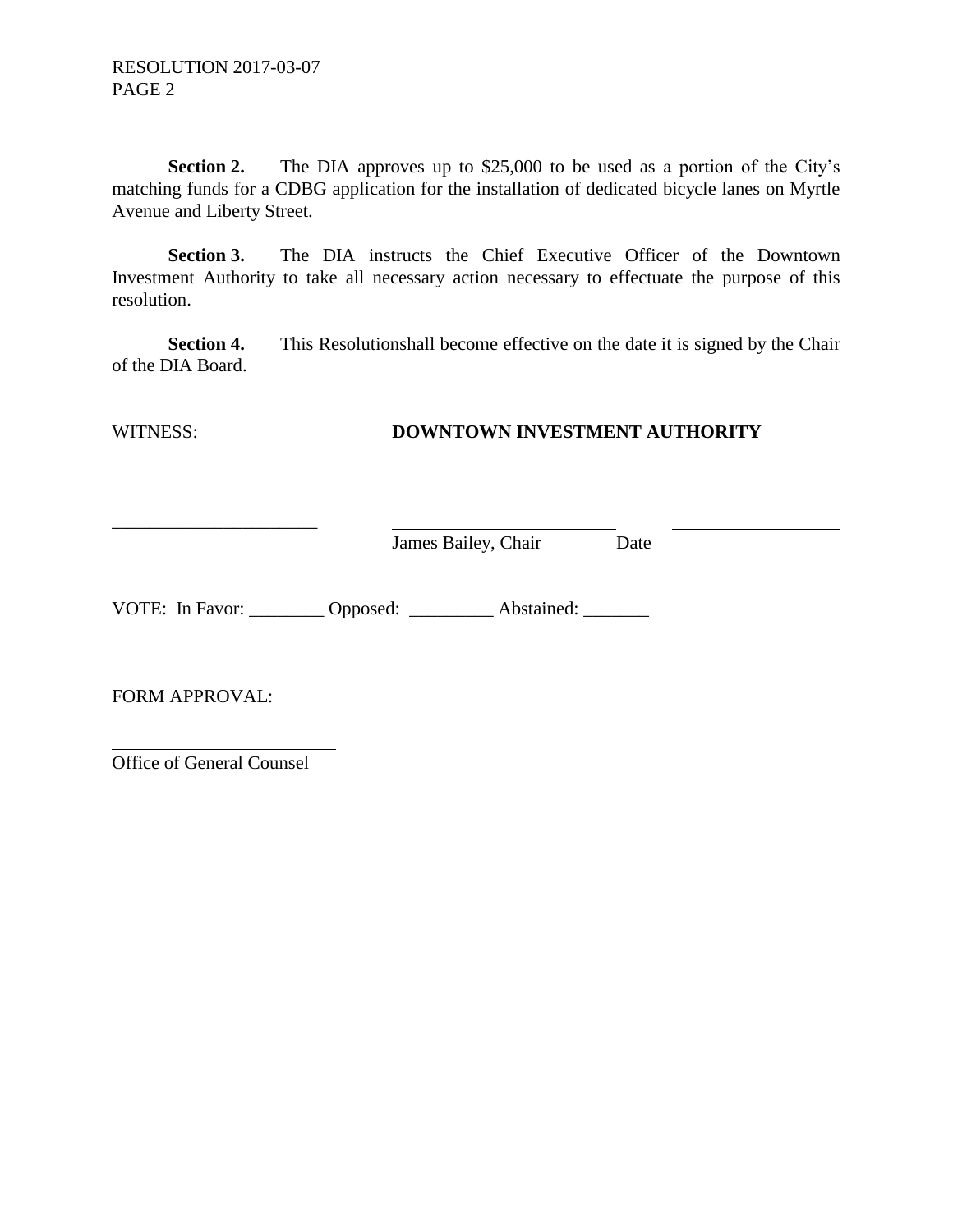**Section 2.** The DIA approves up to \$25,000 to be used as a portion of the City's matching funds for a CDBG application for the installation of dedicated bicycle lanes on Myrtle Avenue and Liberty Street.

**Section 3.** The DIA instructs the Chief Executive Officer of the Downtown Investment Authority to take all necessary action necessary to effectuate the purpose of this resolution.

**Section 4.** This Resolutionshall become effective on the date it is signed by the Chair of the DIA Board.

# WITNESS: **DOWNTOWN INVESTMENT AUTHORITY**

James Bailey, Chair Date

VOTE: In Favor: \_\_\_\_\_\_\_\_ Opposed: \_\_\_\_\_\_\_\_ Abstained: \_\_\_\_\_\_\_

FORM APPROVAL:

Office of General Counsel

\_\_\_\_\_\_\_\_\_\_\_\_\_\_\_\_\_\_\_\_\_\_